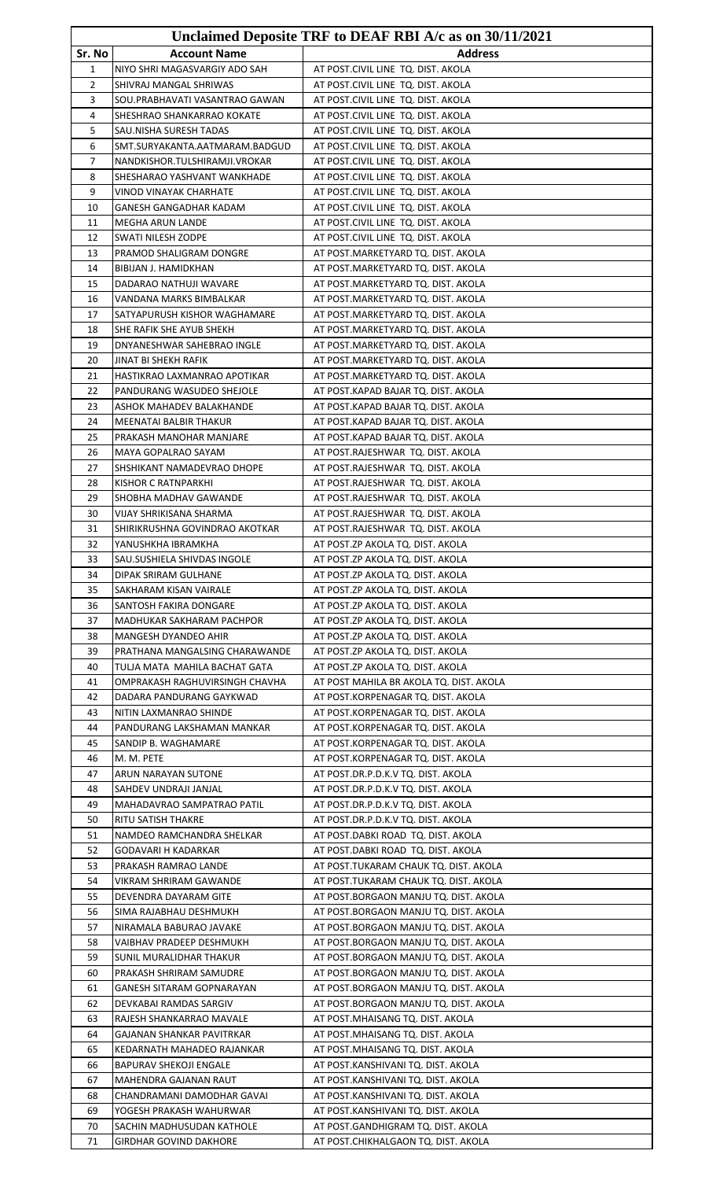| Unclaimed Deposite TRF to DEAF RBI A/c as on 30/11/2021 |                                                                 |                                                                             |
|---------------------------------------------------------|-----------------------------------------------------------------|-----------------------------------------------------------------------------|
| Sr. No                                                  | <b>Account Name</b>                                             | <b>Address</b>                                                              |
| 1                                                       | NIYO SHRI MAGASVARGIY ADO SAH                                   | AT POST.CIVIL LINE TQ. DIST. AKOLA                                          |
| 2                                                       | SHIVRAJ MANGAL SHRIWAS                                          | AT POST.CIVIL LINE TQ. DIST. AKOLA                                          |
| 3                                                       | SOU.PRABHAVATI VASANTRAO GAWAN                                  | AT POST.CIVIL LINE TQ. DIST. AKOLA                                          |
| 4                                                       | SHESHRAO SHANKARRAO KOKATE                                      | AT POST.CIVIL LINE TQ. DIST. AKOLA                                          |
| 5                                                       | SAU.NISHA SURESH TADAS                                          | AT POST.CIVIL LINE TQ. DIST. AKOLA                                          |
| 6<br>7                                                  | SMT.SURYAKANTA.AATMARAM.BADGUD                                  | AT POST.CIVIL LINE TQ. DIST. AKOLA<br>AT POST.CIVIL LINE TQ. DIST. AKOLA    |
| 8                                                       | NANDKISHOR.TULSHIRAMJI.VROKAR<br>SHESHARAO YASHVANT WANKHADE    | AT POST.CIVIL LINE TQ. DIST. AKOLA                                          |
| 9                                                       | VINOD VINAYAK CHARHATE                                          | AT POST.CIVIL LINE TQ. DIST. AKOLA                                          |
| 10                                                      | GANESH GANGADHAR KADAM                                          | AT POST.CIVIL LINE TQ. DIST. AKOLA                                          |
| 11                                                      | MEGHA ARUN LANDE                                                | AT POST.CIVIL LINE TQ. DIST. AKOLA                                          |
| 12                                                      | SWATI NILESH ZODPE                                              | AT POST.CIVIL LINE TQ. DIST. AKOLA                                          |
| 13                                                      | PRAMOD SHALIGRAM DONGRE                                         | AT POST.MARKETYARD TQ. DIST. AKOLA                                          |
| 14                                                      | BIBIJAN J. HAMIDKHAN                                            | AT POST.MARKETYARD TQ. DIST. AKOLA                                          |
| 15                                                      | DADARAO NATHUJI WAVARE                                          | AT POST.MARKETYARD TQ. DIST. AKOLA                                          |
| 16                                                      | VANDANA MARKS BIMBALKAR                                         | AT POST.MARKETYARD TQ. DIST. AKOLA                                          |
| 17<br>18                                                | SATYAPURUSH KISHOR WAGHAMARE<br>SHE RAFIK SHE AYUB SHEKH        | AT POST.MARKETYARD TQ. DIST. AKOLA<br>AT POST.MARKETYARD TQ. DIST. AKOLA    |
| 19                                                      | DNYANESHWAR SAHEBRAO INGLE                                      | AT POST.MARKETYARD TQ. DIST. AKOLA                                          |
| 20                                                      | JINAT BI SHEKH RAFIK                                            | AT POST.MARKETYARD TQ. DIST. AKOLA                                          |
| 21                                                      | HASTIKRAO LAXMANRAO APOTIKAR                                    | AT POST.MARKETYARD TQ. DIST. AKOLA                                          |
| 22                                                      | PANDURANG WASUDEO SHEJOLE                                       | AT POST.KAPAD BAJAR TQ. DIST. AKOLA                                         |
| 23                                                      | ASHOK MAHADEV BALAKHANDE                                        | AT POST.KAPAD BAJAR TQ. DIST. AKOLA                                         |
| 24                                                      | MEENATAI BALBIR THAKUR                                          | AT POST.KAPAD BAJAR TQ. DIST. AKOLA                                         |
| 25                                                      | PRAKASH MANOHAR MANJARE                                         | AT POST.KAPAD BAJAR TQ. DIST. AKOLA                                         |
| 26                                                      | MAYA GOPALRAO SAYAM                                             | AT POST.RAJESHWAR TQ. DIST. AKOLA                                           |
| 27                                                      | SHSHIKANT NAMADEVRAO DHOPE                                      | AT POST.RAJESHWAR TQ. DIST. AKOLA                                           |
| 28                                                      | KISHOR C RATNPARKHI                                             | AT POST.RAJESHWAR TQ. DIST. AKOLA                                           |
| 29<br>30                                                | SHOBHA MADHAV GAWANDE                                           | AT POST.RAJESHWAR TQ. DIST. AKOLA                                           |
| 31                                                      | VIJAY SHRIKISANA SHARMA<br>SHIRIKRUSHNA GOVINDRAO AKOTKAR       | AT POST.RAJESHWAR TQ. DIST. AKOLA<br>AT POST.RAJESHWAR TQ. DIST. AKOLA      |
| 32                                                      | YANUSHKHA IBRAMKHA                                              | AT POST.ZP AKOLA TQ. DIST. AKOLA                                            |
| 33                                                      | SAU.SUSHIELA SHIVDAS INGOLE                                     | AT POST.ZP AKOLA TQ. DIST. AKOLA                                            |
| 34                                                      | DIPAK SRIRAM GULHANE                                            | AT POST.ZP AKOLA TQ. DIST. AKOLA                                            |
| 35                                                      | SAKHARAM KISAN VAIRALE                                          | AT POST.ZP AKOLA TQ. DIST. AKOLA                                            |
| 36                                                      | SANTOSH FAKIRA DONGARE                                          | AT POST.ZP AKOLA TQ. DIST. AKOLA                                            |
| 37                                                      | MADHUKAR SAKHARAM PACHPOR                                       | AT POST.ZP AKOLA TQ. DIST. AKOLA                                            |
| 38                                                      | <b>MANGESH DYANDEO AHIR</b>                                     | AT POST.ZP AKOLA TQ. DIST. AKOLA                                            |
| 39                                                      | PRATHANA MANGALSING CHARAWANDE                                  | AT POST.ZP AKOLA TQ. DIST. AKOLA                                            |
| 40<br>41                                                | TULJA MATA MAHILA BACHAT GATA<br>OMPRAKASH RAGHUVIRSINGH CHAVHA | AT POST.ZP AKOLA TQ. DIST. AKOLA<br>AT POST MAHILA BR AKOLA TQ. DIST. AKOLA |
| 42                                                      | DADARA PANDURANG GAYKWAD                                        | AT POST.KORPENAGAR TQ. DIST. AKOLA                                          |
| 43                                                      | NITIN LAXMANRAO SHINDE                                          | AT POST.KORPENAGAR TQ. DIST. AKOLA                                          |
| 44                                                      | PANDURANG LAKSHAMAN MANKAR                                      | AT POST.KORPENAGAR TQ. DIST. AKOLA                                          |
| 45                                                      | SANDIP B. WAGHAMARE                                             | AT POST.KORPENAGAR TQ. DIST. AKOLA                                          |
| 46                                                      | M. M. PETE                                                      | AT POST.KORPENAGAR TQ. DIST. AKOLA                                          |
| 47                                                      | ARUN NARAYAN SUTONE                                             | AT POST.DR.P.D.K.V TQ. DIST. AKOLA                                          |
| 48                                                      | SAHDEV UNDRAJI JANJAL                                           | AT POST.DR.P.D.K.V TQ. DIST. AKOLA                                          |
| 49                                                      | MAHADAVRAO SAMPATRAO PATIL                                      | AT POST.DR.P.D.K.V TQ. DIST. AKOLA                                          |
| 50                                                      | RITU SATISH THAKRE                                              | AT POST.DR.P.D.K.V TQ. DIST. AKOLA                                          |
| 51<br>52                                                | NAMDEO RAMCHANDRA SHELKAR<br>GODAVARI H KADARKAR                | AT POST.DABKI ROAD TQ. DIST. AKOLA<br>AT POST.DABKI ROAD TQ. DIST. AKOLA    |
| 53                                                      | PRAKASH RAMRAO LANDE                                            | AT POST.TUKARAM CHAUK TQ. DIST. AKOLA                                       |
| 54                                                      | VIKRAM SHRIRAM GAWANDE                                          | AT POST.TUKARAM CHAUK TQ. DIST. AKOLA                                       |
| 55                                                      | DEVENDRA DAYARAM GITE                                           | AT POST.BORGAON MANJU TQ. DIST. AKOLA                                       |
| 56                                                      | SIMA RAJABHAU DESHMUKH                                          | AT POST.BORGAON MANJU TQ. DIST. AKOLA                                       |
| 57                                                      | NIRAMALA BABURAO JAVAKE                                         | AT POST.BORGAON MANJU TQ. DIST. AKOLA                                       |
| 58                                                      | VAIBHAV PRADEEP DESHMUKH                                        | AT POST.BORGAON MANJU TQ. DIST. AKOLA                                       |
| 59                                                      | SUNIL MURALIDHAR THAKUR                                         | AT POST.BORGAON MANJU TQ. DIST. AKOLA                                       |
| 60                                                      | PRAKASH SHRIRAM SAMUDRE                                         | AT POST.BORGAON MANJU TQ. DIST. AKOLA                                       |
| 61                                                      | GANESH SITARAM GOPNARAYAN                                       | AT POST.BORGAON MANJU TQ. DIST. AKOLA                                       |
| 62<br>63                                                | DEVKABAI RAMDAS SARGIV<br>RAJESH SHANKARRAO MAVALE              | AT POST.BORGAON MANJU TQ. DIST. AKOLA<br>AT POST.MHAISANG TQ. DIST. AKOLA   |
| 64                                                      | <b>GAJANAN SHANKAR PAVITRKAR</b>                                | AT POST.MHAISANG TQ. DIST. AKOLA                                            |
| 65                                                      | KEDARNATH MAHADEO RAJANKAR                                      | AT POST.MHAISANG TQ. DIST. AKOLA                                            |
| 66                                                      | BAPURAV SHEKOJI ENGALE                                          | AT POST.KANSHIVANI TQ. DIST. AKOLA                                          |
| 67                                                      | MAHENDRA GAJANAN RAUT                                           | AT POST.KANSHIVANI TQ. DIST. AKOLA                                          |
| 68                                                      | CHANDRAMANI DAMODHAR GAVAI                                      | AT POST.KANSHIVANI TQ. DIST. AKOLA                                          |
| 69                                                      | YOGESH PRAKASH WAHURWAR                                         | AT POST.KANSHIVANI TQ. DIST. AKOLA                                          |
| 70                                                      | SACHIN MADHUSUDAN KATHOLE                                       | AT POST.GANDHIGRAM TQ. DIST. AKOLA                                          |
| 71                                                      | <b>GIRDHAR GOVIND DAKHORE</b>                                   | AT POST.CHIKHALGAON TQ. DIST. AKOLA                                         |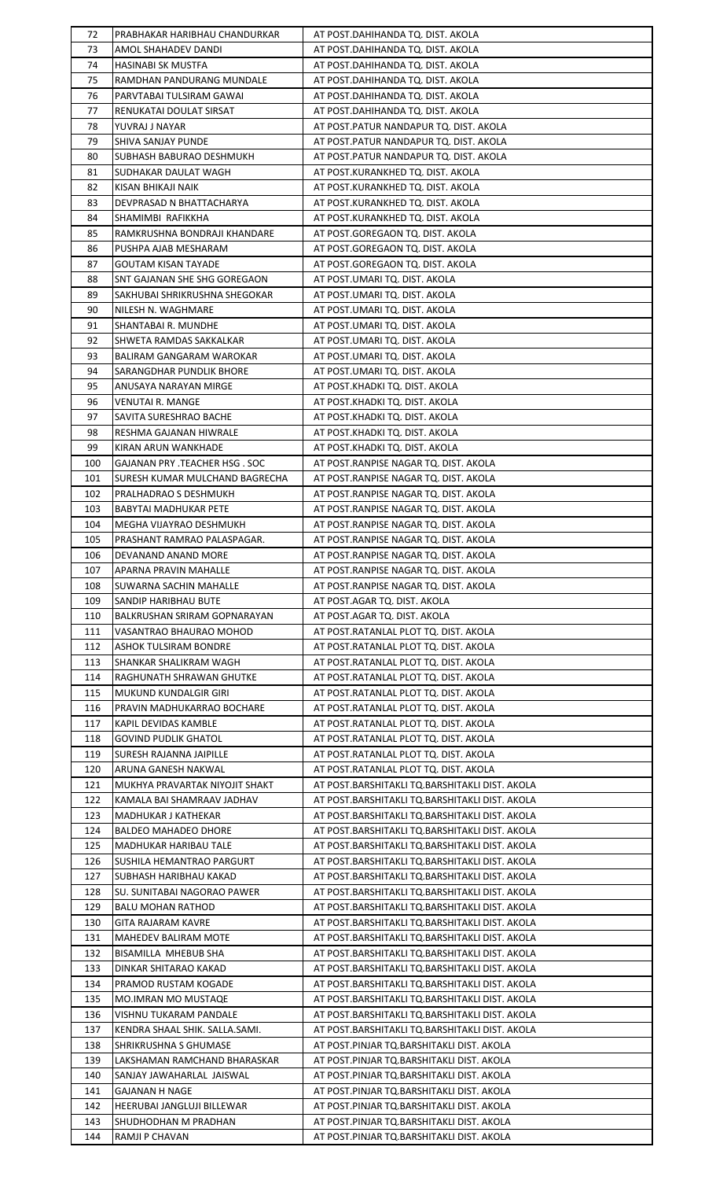| 72  | PRABHAKAR HARIBHAU CHANDURKAR       | AT POST.DAHIHANDA TQ. DIST. AKOLA              |
|-----|-------------------------------------|------------------------------------------------|
| 73  | AMOL SHAHADEV DANDI                 | AT POST.DAHIHANDA TQ. DIST. AKOLA              |
| 74  | HASINABI SK MUSTFA                  | AT POST.DAHIHANDA TQ. DIST. AKOLA              |
| 75  | RAMDHAN PANDURANG MUNDALE           | AT POST.DAHIHANDA TQ. DIST. AKOLA              |
|     |                                     |                                                |
| 76  | PARVTABAI TULSIRAM GAWAI            | AT POST.DAHIHANDA TQ. DIST. AKOLA              |
| 77  | RENUKATAI DOULAT SIRSAT             | AT POST.DAHIHANDA TQ. DIST. AKOLA              |
| 78  | YUVRAJ J NAYAR                      | AT POST.PATUR NANDAPUR TQ. DIST. AKOLA         |
| 79  | SHIVA SANJAY PUNDE                  | AT POST.PATUR NANDAPUR TQ. DIST. AKOLA         |
| 80  | SUBHASH BABURAO DESHMUKH            | AT POST.PATUR NANDAPUR TQ. DIST. AKOLA         |
| 81  | SUDHAKAR DAULAT WAGH                | AT POST.KURANKHED TQ. DIST. AKOLA              |
| 82  | KISAN BHIKAJI NAIK                  | AT POST.KURANKHED TQ. DIST. AKOLA              |
| 83  | DEVPRASAD N BHATTACHARYA            | AT POST.KURANKHED TQ. DIST. AKOLA              |
| 84  | SHAMIMBI RAFIKKHA                   | AT POST.KURANKHED TQ. DIST. AKOLA              |
| 85  | RAMKRUSHNA BONDRAJI KHANDARE        | AT POST.GOREGAON TQ. DIST. AKOLA               |
| 86  | PUSHPA AJAB MESHARAM                | AT POST.GOREGAON TQ. DIST. AKOLA               |
|     |                                     |                                                |
| 87  | GOUTAM KISAN TAYADE                 | AT POST.GOREGAON TQ. DIST. AKOLA               |
| 88  | SNT GAJANAN SHE SHG GOREGAON        | AT POST.UMARI TQ. DIST. AKOLA                  |
| 89  | SAKHUBAI SHRIKRUSHNA SHEGOKAR       | AT POST.UMARI TQ. DIST. AKOLA                  |
| 90  | NILESH N. WAGHMARE                  | AT POST.UMARI TQ. DIST. AKOLA                  |
| 91  | SHANTABAI R. MUNDHE                 | AT POST.UMARI TQ. DIST. AKOLA                  |
| 92  | SHWETA RAMDAS SAKKALKAR             | AT POST.UMARI TQ. DIST. AKOLA                  |
| 93  | BALIRAM GANGARAM WAROKAR            | AT POST.UMARI TQ. DIST. AKOLA                  |
| 94  | SARANGDHAR PUNDLIK BHORE            | AT POST.UMARI TQ. DIST. AKOLA                  |
| 95  | ANUSAYA NARAYAN MIRGE               | AT POST.KHADKI TQ. DIST. AKOLA                 |
| 96  | <b>VENUTAI R. MANGE</b>             | AT POST.KHADKI TQ. DIST. AKOLA                 |
| 97  | SAVITA SURESHRAO BACHE              | AT POST.KHADKI TQ. DIST. AKOLA                 |
| 98  | RESHMA GAJANAN HIWRALE              | AT POST.KHADKI TQ. DIST. AKOLA                 |
| 99  | KIRAN ARUN WANKHADE                 | AT POST.KHADKI TQ. DIST. AKOLA                 |
| 100 | GAJANAN PRY .TEACHER HSG . SOC      | AT POST.RANPISE NAGAR TQ. DIST. AKOLA          |
| 101 | SURESH KUMAR MULCHAND BAGRECHA      | AT POST.RANPISE NAGAR TQ. DIST. AKOLA          |
| 102 | PRALHADRAO S DESHMUKH               | AT POST.RANPISE NAGAR TQ. DIST. AKOLA          |
| 103 | <b>BABYTAI MADHUKAR PETE</b>        | AT POST.RANPISE NAGAR TQ. DIST. AKOLA          |
|     |                                     |                                                |
| 104 | MEGHA VIJAYRAO DESHMUKH             | AT POST.RANPISE NAGAR TQ. DIST. AKOLA          |
| 105 | PRASHANT RAMRAO PALASPAGAR.         | AT POST.RANPISE NAGAR TQ. DIST. AKOLA          |
| 106 | DEVANAND ANAND MORE                 | AT POST.RANPISE NAGAR TQ. DIST. AKOLA          |
| 107 | APARNA PRAVIN MAHALLE               | AT POST.RANPISE NAGAR TQ. DIST. AKOLA          |
| 108 | SUWARNA SACHIN MAHALLE              | AT POST.RANPISE NAGAR TQ. DIST. AKOLA          |
| 109 | SANDIP HARIBHAU BUTE                | AT POST.AGAR TQ. DIST. AKOLA                   |
| 110 | <b>BALKRUSHAN SRIRAM GOPNARAYAN</b> | AT POST.AGAR TQ. DIST. AKOLA                   |
| 111 | VASANTRAO BHAURAO MOHOD             | AT POST.RATANLAL PLOT TQ. DIST. AKOLA          |
| 112 | <b>ASHOK TULSIRAM BONDRE</b>        | AT POST.RATANLAL PLOT TQ. DIST. AKOLA          |
| 113 | SHANKAR SHALIKRAM WAGH              | AT POST.RATANLAL PLOT TQ. DIST. AKOLA          |
| 114 | RAGHUNATH SHRAWAN GHUTKE            | AT POST. RATANLAL PLOT TO. DIST. AKOLA         |
| 115 | MUKUND KUNDALGIR GIRI               | AT POST.RATANLAL PLOT TQ. DIST. AKOLA          |
| 116 | PRAVIN MADHUKARRAO BOCHARE          | AT POST.RATANLAL PLOT TQ. DIST. AKOLA          |
| 117 | KAPIL DEVIDAS KAMBLE                | AT POST.RATANLAL PLOT TQ. DIST. AKOLA          |
| 118 | <b>GOVIND PUDLIK GHATOL</b>         | AT POST.RATANLAL PLOT TQ. DIST. AKOLA          |
| 119 | SURESH RAJANNA JAIPILLE             | AT POST.RATANLAL PLOT TQ. DIST. AKOLA          |
| 120 | ARUNA GANESH NAKWAL                 | AT POST.RATANLAL PLOT TQ. DIST. AKOLA          |
| 121 | MUKHYA PRAVARTAK NIYOJIT SHAKT      | AT POST.BARSHITAKLI TQ.BARSHITAKLI DIST. AKOLA |
| 122 | KAMALA BAI SHAMRAAV JADHAV          | AT POST.BARSHITAKLI TQ.BARSHITAKLI DIST. AKOLA |
| 123 | MADHUKAR J KATHEKAR                 | AT POST.BARSHITAKLI TQ.BARSHITAKLI DIST. AKOLA |
| 124 | BALDEO MAHADEO DHORE                | AT POST.BARSHITAKLI TQ.BARSHITAKLI DIST. AKOLA |
| 125 | MADHUKAR HARIBAU TALE               | AT POST.BARSHITAKLI TQ.BARSHITAKLI DIST. AKOLA |
| 126 | SUSHILA HEMANTRAO PARGURT           | AT POST.BARSHITAKLI TQ.BARSHITAKLI DIST. AKOLA |
| 127 | SUBHASH HARIBHAU KAKAD              | AT POST.BARSHITAKLI TQ.BARSHITAKLI DIST. AKOLA |
| 128 | SU. SUNITABAI NAGORAO PAWER         | AT POST.BARSHITAKLI TQ.BARSHITAKLI DIST. AKOLA |
| 129 | <b>BALU MOHAN RATHOD</b>            | AT POST.BARSHITAKLI TQ.BARSHITAKLI DIST. AKOLA |
| 130 | GITA RAJARAM KAVRE                  | AT POST.BARSHITAKLI TQ.BARSHITAKLI DIST. AKOLA |
| 131 | MAHEDEV BALIRAM MOTE                | AT POST.BARSHITAKLI TQ.BARSHITAKLI DIST. AKOLA |
| 132 | BISAMILLA MHEBUB SHA                |                                                |
|     |                                     | AT POST.BARSHITAKLI TQ.BARSHITAKLI DIST. AKOLA |
| 133 | DINKAR SHITARAO KAKAD               | AT POST.BARSHITAKLI TQ.BARSHITAKLI DIST. AKOLA |
| 134 | PRAMOD RUSTAM KOGADE                | AT POST.BARSHITAKLI TQ.BARSHITAKLI DIST. AKOLA |
| 135 | <b>MO.IMRAN MO MUSTAQE</b>          | AT POST.BARSHITAKLI TQ.BARSHITAKLI DIST. AKOLA |
| 136 | <b>VISHNU TUKARAM PANDALE</b>       | AT POST.BARSHITAKLI TQ.BARSHITAKLI DIST. AKOLA |
| 137 | KENDRA SHAAL SHIK. SALLA.SAMI.      | AT POST.BARSHITAKLI TQ.BARSHITAKLI DIST. AKOLA |
| 138 | SHRIKRUSHNA S GHUMASE               | AT POST.PINJAR TQ.BARSHITAKLI DIST. AKOLA      |
| 139 | LAKSHAMAN RAMCHAND BHARASKAR        | AT POST.PINJAR TQ.BARSHITAKLI DIST. AKOLA      |
| 140 | SANJAY JAWAHARLAL JAISWAL           | AT POST.PINJAR TQ.BARSHITAKLI DIST. AKOLA      |
| 141 | GAJANAN H NAGE                      | AT POST.PINJAR TQ.BARSHITAKLI DIST. AKOLA      |
| 142 | HEERUBAI JANGLUJI BILLEWAR          | AT POST.PINJAR TQ.BARSHITAKLI DIST. AKOLA      |
| 143 | SHUDHODHAN M PRADHAN                | AT POST.PINJAR TQ.BARSHITAKLI DIST. AKOLA      |
| 144 | RAMJI P CHAVAN                      | AT POST.PINJAR TQ.BARSHITAKLI DIST. AKOLA      |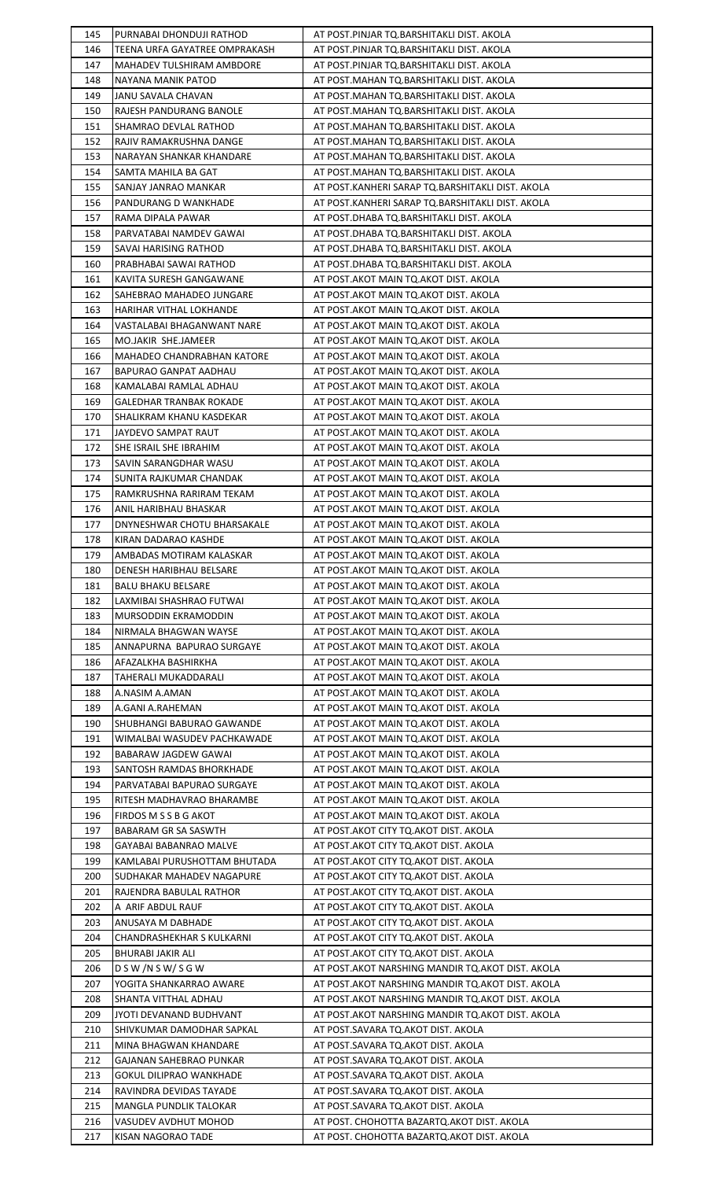| 145 | PURNABAI DHONDUJI RATHOD       | AT POST.PINJAR TQ.BARSHITAKLI DIST. AKOLA          |
|-----|--------------------------------|----------------------------------------------------|
| 146 | TEENA URFA GAYATREE OMPRAKASH  | AT POST.PINJAR TQ.BARSHITAKLI DIST. AKOLA          |
| 147 | MAHADEV TULSHIRAM AMBDORE      | AT POST.PINJAR TQ.BARSHITAKLI DIST. AKOLA          |
| 148 | NAYANA MANIK PATOD             | AT POST.MAHAN TQ.BARSHITAKLI DIST. AKOLA           |
|     |                                |                                                    |
| 149 | JANU SAVALA CHAVAN             | AT POST.MAHAN TQ.BARSHITAKLI DIST. AKOLA           |
| 150 | RAJESH PANDURANG BANOLE        | AT POST.MAHAN TQ.BARSHITAKLI DIST. AKOLA           |
| 151 | SHAMRAO DEVLAL RATHOD          | AT POST.MAHAN TQ.BARSHITAKLI DIST. AKOLA           |
| 152 | RAJIV RAMAKRUSHNA DANGE        | AT POST.MAHAN TQ.BARSHITAKLI DIST. AKOLA           |
| 153 | NARAYAN SHANKAR KHANDARE       | AT POST.MAHAN TQ.BARSHITAKLI DIST. AKOLA           |
| 154 | SAMTA MAHILA BA GAT            | AT POST.MAHAN TQ.BARSHITAKLI DIST. AKOLA           |
| 155 | SANJAY JANRAO MANKAR           | AT POST.KANHERI SARAP TQ.BARSHITAKLI DIST. AKOLA   |
| 156 | PANDURANG D WANKHADE           | AT POST.KANHERI SARAP TQ.BARSHITAKLI DIST. AKOLA   |
| 157 | RAMA DIPALA PAWAR              | AT POST.DHABA TQ.BARSHITAKLI DIST. AKOLA           |
| 158 | PARVATABAI NAMDEV GAWAI        | AT POST.DHABA TQ.BARSHITAKLI DIST. AKOLA           |
| 159 | SAVAI HARISING RATHOD          | AT POST.DHABA TQ.BARSHITAKLI DIST. AKOLA           |
|     |                                |                                                    |
| 160 | PRABHABAI SAWAI RATHOD         | AT POST.DHABA TQ.BARSHITAKLI DIST. AKOLA           |
| 161 | KAVITA SURESH GANGAWANE        | AT POST.AKOT MAIN TQ.AKOT DIST. AKOLA              |
| 162 | SAHEBRAO MAHADEO JUNGARE       | AT POST.AKOT MAIN TQ.AKOT DIST. AKOLA              |
| 163 | HARIHAR VITHAL LOKHANDE        | AT POST.AKOT MAIN TQ.AKOT DIST. AKOLA              |
| 164 | VASTALABAI BHAGANWANT NARE     | AT POST.AKOT MAIN TQ.AKOT DIST. AKOLA              |
| 165 | MO.JAKIR SHE.JAMEER            | AT POST.AKOT MAIN TQ.AKOT DIST. AKOLA              |
| 166 | MAHADEO CHANDRABHAN KATORE     | AT POST.AKOT MAIN TQ.AKOT DIST. AKOLA              |
| 167 | BAPURAO GANPAT AADHAU          | AT POST.AKOT MAIN TQ.AKOT DIST. AKOLA              |
| 168 | KAMALABAI RAMLAL ADHAU         | AT POST.AKOT MAIN TQ.AKOT DIST. AKOLA              |
| 169 | <b>GALEDHAR TRANBAK ROKADE</b> | AT POST.AKOT MAIN TQ.AKOT DIST. AKOLA              |
| 170 | SHALIKRAM KHANU KASDEKAR       | AT POST.AKOT MAIN TQ.AKOT DIST. AKOLA              |
| 171 | JAYDEVO SAMPAT RAUT            | AT POST.AKOT MAIN TQ.AKOT DIST. AKOLA              |
| 172 | SHE ISRAIL SHE IBRAHIM         | AT POST.AKOT MAIN TQ.AKOT DIST. AKOLA              |
| 173 | SAVIN SARANGDHAR WASU          | AT POST.AKOT MAIN TQ.AKOT DIST. AKOLA              |
| 174 | SUNITA RAJKUMAR CHANDAK        | AT POST.AKOT MAIN TQ.AKOT DIST. AKOLA              |
| 175 | RAMKRUSHNA RARIRAM TEKAM       | AT POST.AKOT MAIN TQ.AKOT DIST. AKOLA              |
| 176 | ANIL HARIBHAU BHASKAR          | AT POST.AKOT MAIN TQ.AKOT DIST. AKOLA              |
| 177 | DNYNESHWAR CHOTU BHARSAKALE    | AT POST.AKOT MAIN TQ.AKOT DIST. AKOLA              |
| 178 | KIRAN DADARAO KASHDE           | AT POST.AKOT MAIN TQ.AKOT DIST. AKOLA              |
| 179 | AMBADAS MOTIRAM KALASKAR       | AT POST.AKOT MAIN TQ.AKOT DIST. AKOLA              |
| 180 | DENESH HARIBHAU BELSARE        | AT POST.AKOT MAIN TQ.AKOT DIST. AKOLA              |
| 181 | <b>BALU BHAKU BELSARE</b>      | AT POST.AKOT MAIN TQ.AKOT DIST. AKOLA              |
| 182 | LAXMIBAI SHASHRAO FUTWAI       | AT POST.AKOT MAIN TQ.AKOT DIST. AKOLA              |
| 183 | MURSODDIN EKRAMODDIN           | AT POST.AKOT MAIN TQ.AKOT DIST. AKOLA              |
| 184 | NIRMALA BHAGWAN WAYSE          |                                                    |
|     |                                | AT POST.AKOT MAIN TQ.AKOT DIST. AKOLA              |
| 185 | ANNAPURNA BAPURAO SURGAYE      | AT POST.AKOT MAIN TQ.AKOT DIST. AKOLA              |
| 186 | AFAZALKHA BASHIRKHA            | AT POST.AKOT MAIN TQ.AKOT DIST. AKOLA              |
| 187 | TAHERALI MUKADDARALI           | AT POST. AKOT MAIN TO. AKOT DIST. AKOLA            |
| 188 | A.NASIM A.AMAN                 | AT POST.AKOT MAIN TQ.AKOT DIST. AKOLA              |
| 189 | A.GANI A.RAHEMAN               | AT POST.AKOT MAIN TQ.AKOT DIST. AKOLA              |
| 190 | SHUBHANGI BABURAO GAWANDE      | AT POST.AKOT MAIN TQ.AKOT DIST. AKOLA              |
| 191 | WIMALBAI WASUDEV PACHKAWADE    | AT POST.AKOT MAIN TQ.AKOT DIST. AKOLA              |
| 192 | BABARAW JAGDEW GAWAI           | AT POST.AKOT MAIN TQ.AKOT DIST. AKOLA              |
| 193 | SANTOSH RAMDAS BHORKHADE       | AT POST.AKOT MAIN TQ.AKOT DIST. AKOLA              |
| 194 | PARVATABAI BAPURAO SURGAYE     | AT POST.AKOT MAIN TQ.AKOT DIST. AKOLA              |
| 195 | RITESH MADHAVRAO BHARAMBE      | AT POST.AKOT MAIN TQ.AKOT DIST. AKOLA              |
| 196 | FIRDOS M S S B G AKOT          | AT POST.AKOT MAIN TQ.AKOT DIST. AKOLA              |
| 197 | <b>BABARAM GR SA SASWTH</b>    | AT POST.AKOT CITY TQ.AKOT DIST. AKOLA              |
| 198 | GAYABAI BABANRAO MALVE         | AT POST.AKOT CITY TQ.AKOT DIST. AKOLA              |
| 199 | KAMLABAI PURUSHOTTAM BHUTADA   | AT POST.AKOT CITY TQ.AKOT DIST. AKOLA              |
| 200 | SUDHAKAR MAHADEV NAGAPURE      | AT POST.AKOT CITY TQ.AKOT DIST. AKOLA              |
| 201 | RAJENDRA BABULAL RATHOR        | AT POST.AKOT CITY TQ.AKOT DIST. AKOLA              |
| 202 | A ARIF ABDUL RAUF              | AT POST.AKOT CITY TO.AKOT DIST. AKOLA              |
| 203 | ANUSAYA M DABHADE              | AT POST.AKOT CITY TO.AKOT DIST. AKOLA              |
| 204 | CHANDRASHEKHAR S KULKARNI      | AT POST.AKOT CITY TQ.AKOT DIST. AKOLA              |
| 205 | BHURABI JAKIR ALI              | AT POST.AKOT CITY TQ.AKOT DIST. AKOLA              |
| 206 | DSW/NSW/SGW                    | AT POST.AKOT NARSHING MANDIR TQ.AKOT DIST. AKOLA   |
| 207 | YOGITA SHANKARRAO AWARE        | AT POST. AKOT NARSHING MANDIR TO. AKOT DIST. AKOLA |
| 208 | SHANTA VITTHAL ADHAU           | AT POST. AKOT NARSHING MANDIR TO. AKOT DIST. AKOLA |
| 209 | JYOTI DEVANAND BUDHVANT        | AT POST.AKOT NARSHING MANDIR TQ.AKOT DIST. AKOLA   |
| 210 | SHIVKUMAR DAMODHAR SAPKAL      | AT POST.SAVARA TO.AKOT DIST. AKOLA                 |
|     |                                |                                                    |
| 211 | MINA BHAGWAN KHANDARE          | AT POST.SAVARA TQ.AKOT DIST. AKOLA                 |
| 212 | GAJANAN SAHEBRAO PUNKAR        | AT POST.SAVARA TQ.AKOT DIST. AKOLA                 |
| 213 | <b>GOKUL DILIPRAO WANKHADE</b> | AT POST.SAVARA TQ.AKOT DIST. AKOLA                 |
| 214 | RAVINDRA DEVIDAS TAYADE        | AT POST.SAVARA TQ.AKOT DIST. AKOLA                 |
| 215 | MANGLA PUNDLIK TALOKAR         | AT POST.SAVARA TO.AKOT DIST. AKOLA                 |
| 216 | VASUDEV AVDHUT MOHOD           | AT POST. CHOHOTTA BAZARTQ.AKOT DIST. AKOLA         |
| 217 | KISAN NAGORAO TADE             | AT POST. CHOHOTTA BAZARTO. AKOT DIST. AKOLA        |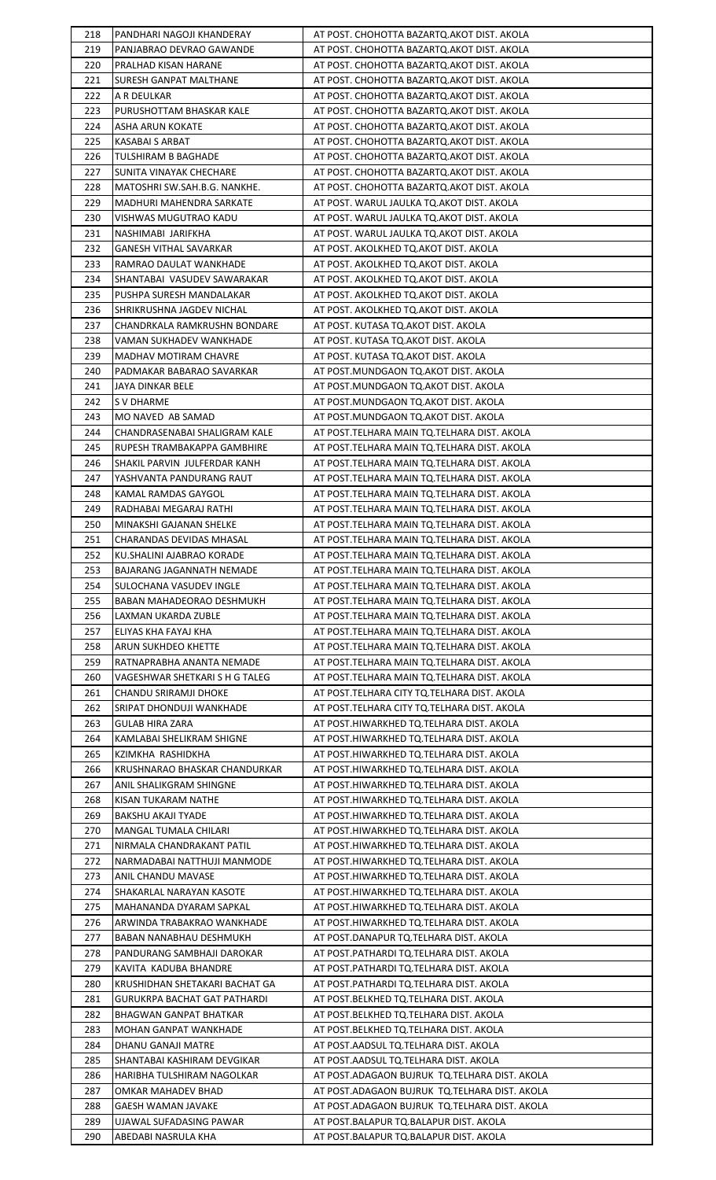| 218 | PANDHARI NAGOJI KHANDERAY           | AT POST. CHOHOTTA BAZARTQ.AKOT DIST. AKOLA      |
|-----|-------------------------------------|-------------------------------------------------|
| 219 | PANJABRAO DEVRAO GAWANDE            | AT POST. CHOHOTTA BAZARTQ.AKOT DIST. AKOLA      |
| 220 | PRALHAD KISAN HARANE                | AT POST. CHOHOTTA BAZARTQ.AKOT DIST. AKOLA      |
| 221 | SURESH GANPAT MALTHANE              | AT POST. CHOHOTTA BAZARTQ.AKOT DIST. AKOLA      |
|     |                                     |                                                 |
| 222 | A R DEULKAR                         | AT POST. CHOHOTTA BAZARTQ.AKOT DIST. AKOLA      |
| 223 | PURUSHOTTAM BHASKAR KALE            | AT POST. CHOHOTTA BAZARTQ.AKOT DIST. AKOLA      |
| 224 | ASHA ARUN KOKATE                    | AT POST. CHOHOTTA BAZARTQ.AKOT DIST. AKOLA      |
| 225 | KASABAI S ARBAT                     | AT POST. CHOHOTTA BAZARTQ.AKOT DIST. AKOLA      |
| 226 | TULSHIRAM B BAGHADE                 | AT POST. CHOHOTTA BAZARTQ.AKOT DIST. AKOLA      |
| 227 | SUNITA VINAYAK CHECHARE             | AT POST. CHOHOTTA BAZARTQ.AKOT DIST. AKOLA      |
| 228 | MATOSHRI SW.SAH.B.G. NANKHE.        | AT POST. CHOHOTTA BAZARTQ.AKOT DIST. AKOLA      |
| 229 | MADHURI MAHENDRA SARKATE            | AT POST. WARUL JAULKA TQ.AKOT DIST. AKOLA       |
| 230 | VISHWAS MUGUTRAO KADU               | AT POST. WARUL JAULKA TQ.AKOT DIST. AKOLA       |
| 231 | NASHIMABI JARIFKHA                  | AT POST. WARUL JAULKA TQ.AKOT DIST. AKOLA       |
| 232 | <b>GANESH VITHAL SAVARKAR</b>       | AT POST. AKOLKHED TQ.AKOT DIST. AKOLA           |
|     | RAMRAO DAULAT WANKHADE              |                                                 |
| 233 |                                     | AT POST. AKOLKHED TQ.AKOT DIST. AKOLA           |
| 234 | SHANTABAI VASUDEV SAWARAKAR         | AT POST. AKOLKHED TQ.AKOT DIST. AKOLA           |
| 235 | PUSHPA SURESH MANDALAKAR            | AT POST. AKOLKHED TQ.AKOT DIST. AKOLA           |
| 236 | SHRIKRUSHNA JAGDEV NICHAL           | AT POST. AKOLKHED TQ.AKOT DIST. AKOLA           |
| 237 | CHANDRKALA RAMKRUSHN BONDARE        | AT POST. KUTASA TQ.AKOT DIST. AKOLA             |
| 238 | <b>VAMAN SUKHADEV WANKHADE</b>      | AT POST. KUTASA TQ.AKOT DIST. AKOLA             |
| 239 | <b>MADHAV MOTIRAM CHAVRE</b>        | AT POST. KUTASA TQ.AKOT DIST. AKOLA             |
| 240 | PADMAKAR BABARAO SAVARKAR           | AT POST.MUNDGAON TQ.AKOT DIST. AKOLA            |
| 241 | JAYA DINKAR BELE                    | AT POST.MUNDGAON TQ.AKOT DIST. AKOLA            |
| 242 | S V DHARME                          | AT POST.MUNDGAON TQ.AKOT DIST. AKOLA            |
| 243 | MO NAVED AB SAMAD                   | AT POST.MUNDGAON TQ.AKOT DIST. AKOLA            |
| 244 | CHANDRASENABAI SHALIGRAM KALE       | AT POST.TELHARA MAIN TQ.TELHARA DIST. AKOLA     |
| 245 | RUPESH TRAMBAKAPPA GAMBHIRE         | AT POST.TELHARA MAIN TQ.TELHARA DIST. AKOLA     |
| 246 | SHAKIL PARVIN JULFERDAR KANH        | AT POST.TELHARA MAIN TQ.TELHARA DIST. AKOLA     |
| 247 | YASHVANTA PANDURANG RAUT            | AT POST.TELHARA MAIN TQ.TELHARA DIST. AKOLA     |
| 248 | KAMAL RAMDAS GAYGOL                 | AT POST.TELHARA MAIN TQ.TELHARA DIST. AKOLA     |
| 249 | RADHABAI MEGARAJ RATHI              | AT POST.TELHARA MAIN TO.TELHARA DIST. AKOLA     |
| 250 | MINAKSHI GAJANAN SHELKE             | AT POST.TELHARA MAIN TQ.TELHARA DIST. AKOLA     |
|     |                                     |                                                 |
| 251 | CHARANDAS DEVIDAS MHASAL            | AT POST.TELHARA MAIN TQ.TELHARA DIST. AKOLA     |
| 252 | <b>KU.SHALINI AJABRAO KORADE</b>    | AT POST.TELHARA MAIN TQ.TELHARA DIST. AKOLA     |
| 253 | BAJARANG JAGANNATH NEMADE           | AT POST.TELHARA MAIN TQ.TELHARA DIST. AKOLA     |
| 254 | SULOCHANA VASUDEV INGLE             | AT POST.TELHARA MAIN TQ.TELHARA DIST. AKOLA     |
| 255 | BABAN MAHADEORAO DESHMUKH           | AT POST.TELHARA MAIN TQ.TELHARA DIST. AKOLA     |
| 256 | LAXMAN UKARDA ZUBLE                 | AT POST.TELHARA MAIN TQ.TELHARA DIST. AKOLA     |
| 257 | ELIYAS KHA FAYAJ KHA                | AT POST.TELHARA MAIN TQ.TELHARA DIST. AKOLA     |
| 258 | ARUN SUKHDEO KHETTE                 | AT POST.TELHARA MAIN TQ.TELHARA DIST. AKOLA     |
| 259 | RATNAPRABHA ANANTA NEMADE           | AT POST.TELHARA MAIN TQ.TELHARA DIST. AKOLA     |
| 260 | VAGESHWAR SHETKARI S H G TALEG      | AT POST.TELHARA MAIN TO.TELHARA DIST. AKOLA     |
| 261 | CHANDU SRIRAMJI DHOKE               | AT POST.TELHARA CITY TQ.TELHARA DIST. AKOLA     |
| 262 | SRIPAT DHONDUJI WANKHADE            | AT POST.TELHARA CITY TQ.TELHARA DIST. AKOLA     |
| 263 | <b>GULAB HIRA ZARA</b>              | AT POST.HIWARKHED TQ.TELHARA DIST. AKOLA        |
| 264 | KAMLABAI SHELIKRAM SHIGNE           | AT POST.HIWARKHED TQ.TELHARA DIST. AKOLA        |
| 265 | KZIMKHA RASHIDKHA                   | AT POST.HIWARKHED TQ.TELHARA DIST. AKOLA        |
| 266 | KRUSHNARAO BHASKAR CHANDURKAR       | AT POST.HIWARKHED TQ.TELHARA DIST. AKOLA        |
| 267 | ANIL SHALIKGRAM SHINGNE             | AT POST.HIWARKHED TQ.TELHARA DIST. AKOLA        |
|     |                                     |                                                 |
| 268 | KISAN TUKARAM NATHE                 | AT POST.HIWARKHED TQ.TELHARA DIST. AKOLA        |
| 269 | <b>BAKSHU AKAJI TYADE</b>           | AT POST.HIWARKHED TQ.TELHARA DIST. AKOLA        |
| 270 | MANGAL TUMALA CHILARI               | AT POST.HIWARKHED TQ.TELHARA DIST. AKOLA        |
| 271 | NIRMALA CHANDRAKANT PATIL           | AT POST.HIWARKHED TQ.TELHARA DIST. AKOLA        |
| 272 | NARMADABAI NATTHUJI MANMODE         | AT POST.HIWARKHED TQ.TELHARA DIST. AKOLA        |
| 273 | ANIL CHANDU MAVASE                  | AT POST.HIWARKHED TQ.TELHARA DIST. AKOLA        |
| 274 | SHAKARLAL NARAYAN KASOTE            | AT POST.HIWARKHED TQ.TELHARA DIST. AKOLA        |
| 275 | MAHANANDA DYARAM SAPKAL             | AT POST.HIWARKHED TQ.TELHARA DIST. AKOLA        |
| 276 | ARWINDA TRABAKRAO WANKHADE          | AT POST.HIWARKHED TQ.TELHARA DIST. AKOLA        |
| 277 | BABAN NANABHAU DESHMUKH             | AT POST.DANAPUR TQ.TELHARA DIST. AKOLA          |
| 278 | PANDURANG SAMBHAJI DAROKAR          | AT POST.PATHARDI TQ.TELHARA DIST. AKOLA         |
| 279 | KAVITA KADUBA BHANDRE               | AT POST.PATHARDI TQ.TELHARA DIST. AKOLA         |
| 280 | KRUSHIDHAN SHETAKARI BACHAT GA      | AT POST.PATHARDI TQ.TELHARA DIST. AKOLA         |
| 281 | <b>GURUKRPA BACHAT GAT PATHARDI</b> | AT POST.BELKHED TQ.TELHARA DIST. AKOLA          |
| 282 | BHAGWAN GANPAT BHATKAR              | AT POST.BELKHED TQ.TELHARA DIST. AKOLA          |
| 283 | <b>MOHAN GANPAT WANKHADE</b>        | AT POST.BELKHED TQ.TELHARA DIST. AKOLA          |
| 284 | DHANU GANAJI MATRE                  | AT POST.AADSUL TQ.TELHARA DIST. AKOLA           |
| 285 | SHANTABAI KASHIRAM DEVGIKAR         | AT POST.AADSUL TQ.TELHARA DIST. AKOLA           |
| 286 | HARIBHA TULSHIRAM NAGOLKAR          | AT POST.ADAGAON BUJRUK TQ.TELHARA DIST. AKOLA   |
| 287 | OMKAR MAHADEV BHAD                  | AT POST.ADAGAON BUJRUK TQ.TELHARA DIST. AKOLA   |
| 288 | GAESH WAMAN JAVAKE                  | AT POST. ADAGAON BUJRUK TO. TELHARA DIST. AKOLA |
| 289 | UJAWAL SUFADASING PAWAR             | AT POST.BALAPUR TQ.BALAPUR DIST. AKOLA          |
| 290 | ABEDABI NASRULA KHA                 | AT POST.BALAPUR TQ.BALAPUR DIST. AKOLA          |
|     |                                     |                                                 |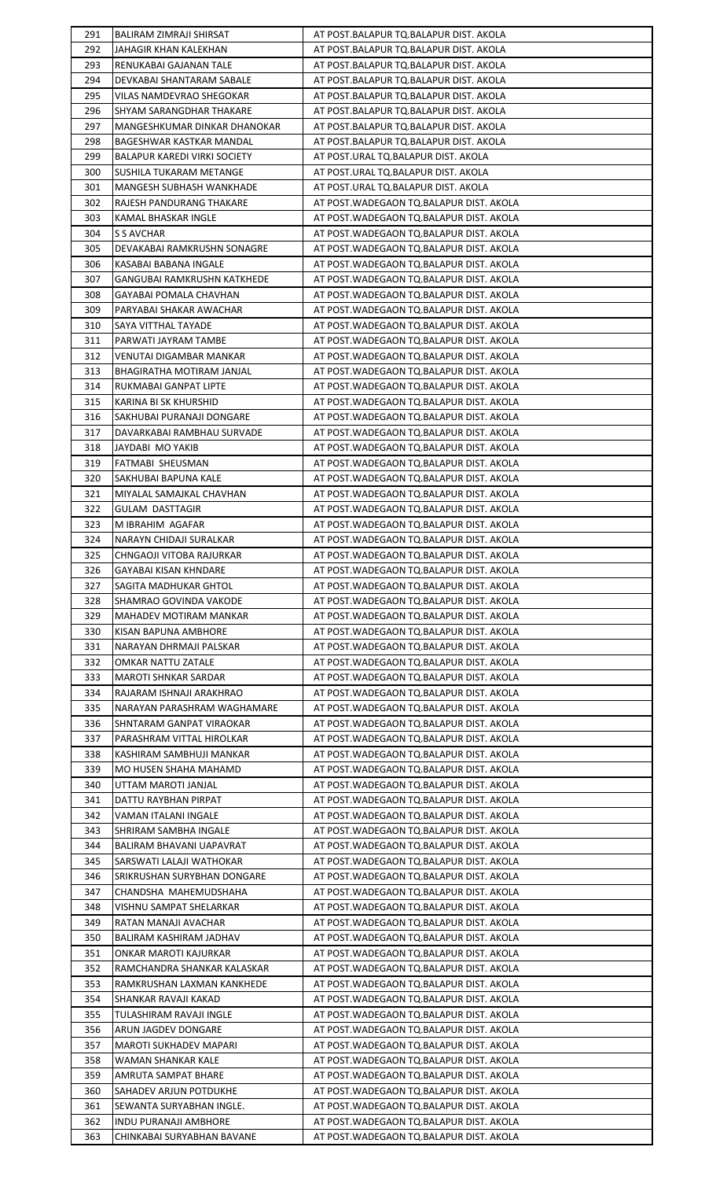| 291        | BALIRAM ZIMRAJI SHIRSAT                             | AT POST.BALAPUR TQ.BALAPUR DIST. AKOLA                                                 |
|------------|-----------------------------------------------------|----------------------------------------------------------------------------------------|
| 292        | JAHAGIR KHAN KALEKHAN                               | AT POST.BALAPUR TQ.BALAPUR DIST. AKOLA                                                 |
| 293        | RENUKABAI GAJANAN TALE                              | AT POST.BALAPUR TQ.BALAPUR DIST. AKOLA                                                 |
| 294        | DEVKABAI SHANTARAM SABALE                           | AT POST.BALAPUR TQ.BALAPUR DIST. AKOLA                                                 |
| 295        | VILAS NAMDEVRAO SHEGOKAR                            | AT POST.BALAPUR TQ.BALAPUR DIST. AKOLA                                                 |
| 296        | SHYAM SARANGDHAR THAKARE                            | AT POST.BALAPUR TQ.BALAPUR DIST. AKOLA                                                 |
| 297        | MANGESHKUMAR DINKAR DHANOKAR                        | AT POST.BALAPUR TQ.BALAPUR DIST. AKOLA                                                 |
| 298        | BAGESHWAR KASTKAR MANDAL                            | AT POST.BALAPUR TQ.BALAPUR DIST. AKOLA                                                 |
| 299        | BALAPUR KAREDI VIRKI SOCIETY                        | AT POST.URAL TQ.BALAPUR DIST. AKOLA                                                    |
| 300        | SUSHILA TUKARAM METANGE                             | AT POST.URAL TQ.BALAPUR DIST. AKOLA                                                    |
| 301        | MANGESH SUBHASH WANKHADE                            | AT POST.URAL TQ.BALAPUR DIST. AKOLA                                                    |
| 302        | RAJESH PANDURANG THAKARE                            | AT POST.WADEGAON TQ.BALAPUR DIST. AKOLA                                                |
| 303        | KAMAL BHASKAR INGLE                                 | AT POST.WADEGAON TQ.BALAPUR DIST. AKOLA                                                |
| 304        | S S AVCHAR                                          | AT POST. WADEGAON TQ. BALAPUR DIST. AKOLA                                              |
| 305        | DEVAKABAI RAMKRUSHN SONAGRE                         | AT POST. WADEGAON TO BALAPUR DIST. AKOLA                                               |
| 306        | KASABAI BABANA INGALE                               | AT POST. WADEGAON TO. BALAPUR DIST. AKOLA                                              |
| 307        | GANGUBAI RAMKRUSHN KATKHEDE                         | AT POST. WADEGAON TO. BALAPUR DIST. AKOLA                                              |
| 308        | GAYABAI POMALA CHAVHAN                              | AT POST.WADEGAON TQ.BALAPUR DIST. AKOLA                                                |
| 309        | PARYABAI SHAKAR AWACHAR                             | AT POST. WADEGAON TO. BALAPUR DIST. AKOLA                                              |
| 310        | SAYA VITTHAL TAYADE                                 | AT POST. WADEGAON TO. BALAPUR DIST. AKOLA                                              |
| 311        | PARWATI JAYRAM TAMBE                                | AT POST. WADEGAON TO BALAPUR DIST. AKOLA                                               |
| 312        | VENUTAI DIGAMBAR MANKAR                             | AT POST. WADEGAON TO. BALAPUR DIST. AKOLA                                              |
| 313        | BHAGIRATHA MOTIRAM JANJAL                           | AT POST. WADEGAON TQ. BALAPUR DIST. AKOLA                                              |
| 314        | RUKMABAI GANPAT LIPTE                               | AT POST.WADEGAON TQ.BALAPUR DIST. AKOLA                                                |
| 315        | KARINA BI SK KHURSHID                               | AT POST. WADEGAON TO. BALAPUR DIST. AKOLA                                              |
| 316<br>317 | SAKHUBAI PURANAJI DONGARE                           | AT POST.WADEGAON TQ.BALAPUR DIST. AKOLA                                                |
| 318        | DAVARKABAI RAMBHAU SURVADE<br>JAYDABI MO YAKIB      | AT POST.WADEGAON TQ.BALAPUR DIST. AKOLA<br>AT POST.WADEGAON TQ.BALAPUR DIST. AKOLA     |
| 319        | FATMABI SHEUSMAN                                    | AT POST.WADEGAON TQ.BALAPUR DIST. AKOLA                                                |
| 320        | SAKHUBAI BAPUNA KALE                                | AT POST.WADEGAON TQ.BALAPUR DIST. AKOLA                                                |
| 321        | MIYALAL SAMAJKAL CHAVHAN                            | AT POST. WADEGAON TO. BALAPUR DIST. AKOLA                                              |
| 322        | GULAM DASTTAGIR                                     | AT POST. WADEGAON TO BALAPUR DIST. AKOLA                                               |
| 323        | M IBRAHIM AGAFAR                                    | AT POST. WADEGAON TO. BALAPUR DIST. AKOLA                                              |
| 324        | NARAYN CHIDAJI SURALKAR                             | AT POST.WADEGAON TQ.BALAPUR DIST. AKOLA                                                |
| 325        | CHNGAOJI VITOBA RAJURKAR                            | AT POST. WADEGAON TO. BALAPUR DIST. AKOLA                                              |
| 326        | GAYABAI KISAN KHNDARE                               | AT POST. WADEGAON TO BALAPUR DIST. AKOLA                                               |
| 327        | SAGITA MADHUKAR GHTOL                               | AT POST. WADEGAON TO. BALAPUR DIST. AKOLA                                              |
| 328        | SHAMRAO GOVINDA VAKODE                              | AT POST.WADEGAON TQ.BALAPUR DIST. AKOLA                                                |
| 329        | MAHADEV MOTIRAM MANKAR                              | AT POST.WADEGAON TQ.BALAPUR DIST. AKOLA                                                |
| 330        | KISAN BAPUNA AMBHORE                                | AT POST. WADEGAON TO BALAPUR DIST. AKOLA                                               |
| 331        | NARAYAN DHRMAJI PALSKAR                             | AT POST. WADEGAON TO BALAPUR DIST. AKOLA                                               |
| 332        | <b>OMKAR NATTU ZATALE</b>                           | AT POST. WADEGAON TO. BALAPUR DIST. AKOLA                                              |
| 333        | MAROTI SHNKAR SARDAR                                | AT POST. WADEGAON TO BALAPUR DIST. AKOLA                                               |
| 334        | RAJARAM ISHNAJI ARAKHRAO                            | AT POST. WADEGAON TO BALAPUR DIST. AKOLA                                               |
| 335        | NARAYAN PARASHRAM WAGHAMARE                         | AT POST.WADEGAON TQ.BALAPUR DIST. AKOLA                                                |
| 336        | SHNTARAM GANPAT VIRAOKAR                            | AT POST.WADEGAON TQ.BALAPUR DIST. AKOLA                                                |
| 337        | PARASHRAM VITTAL HIROLKAR                           | AT POST. WADEGAON TO BALAPUR DIST. AKOLA                                               |
| 338        | KASHIRAM SAMBHUJI MANKAR                            | AT POST. WADEGAON TQ. BALAPUR DIST. AKOLA                                              |
| 339        | MO HUSEN SHAHA MAHAMD                               | AT POST.WADEGAON TQ.BALAPUR DIST. AKOLA                                                |
| 340        | UTTAM MAROTI JANJAL                                 | AT POST.WADEGAON TQ.BALAPUR DIST. AKOLA                                                |
| 341        | DATTU RAYBHAN PIRPAT                                | AT POST.WADEGAON TQ.BALAPUR DIST. AKOLA                                                |
| 342        | VAMAN ITALANI INGALE                                | AT POST. WADEGAON TO BALAPUR DIST. AKOLA                                               |
| 343<br>344 | SHRIRAM SAMBHA INGALE<br>BALIRAM BHAVANI UAPAVRAT   | AT POST. WADEGAON TO BALAPUR DIST. AKOLA<br>AT POST. WADEGAON TO BALAPUR DIST. AKOLA   |
| 345        | SARSWATI LALAJI WATHOKAR                            | AT POST. WADEGAON TO BALAPUR DIST. AKOLA                                               |
| 346        | SRIKRUSHAN SURYBHAN DONGARE                         | AT POST.WADEGAON TQ.BALAPUR DIST. AKOLA                                                |
| 347        | CHANDSHA MAHEMUDSHAHA                               | AT POST.WADEGAON TQ.BALAPUR DIST. AKOLA                                                |
| 348        | VISHNU SAMPAT SHELARKAR                             | AT POST. WADEGAON TO BALAPUR DIST. AKOLA                                               |
| 349        | RATAN MANAJI AVACHAR                                | AT POST. WADEGAON TO. BALAPUR DIST. AKOLA                                              |
| 350        | BALIRAM KASHIRAM JADHAV                             | AT POST. WADEGAON TO. BALAPUR DIST. AKOLA                                              |
| 351        | ONKAR MAROTI KAJURKAR                               | AT POST. WADEGAON TO BALAPUR DIST. AKOLA                                               |
| 352        | RAMCHANDRA SHANKAR KALASKAR                         | AT POST. WADEGAON TO BALAPUR DIST. AKOLA                                               |
| 353        | RAMKRUSHAN LAXMAN KANKHEDE                          | AT POST.WADEGAON TQ.BALAPUR DIST. AKOLA                                                |
| 354        | SHANKAR RAVAJI KAKAD                                | AT POST. WADEGAON TO. BALAPUR DIST. AKOLA                                              |
| 355        | TULASHIRAM RAVAJI INGLE                             | AT POST. WADEGAON TO BALAPUR DIST. AKOLA                                               |
| 356        | ARUN JAGDEV DONGARE                                 | AT POST. WADEGAON TO BALAPUR DIST. AKOLA                                               |
| 357        | MAROTI SUKHADEV MAPARI                              | AT POST.WADEGAON TQ.BALAPUR DIST. AKOLA                                                |
| 358        | WAMAN SHANKAR KALE                                  | AT POST. WADEGAON TO. BALAPUR DIST. AKOLA                                              |
| 359        | AMRUTA SAMPAT BHARE                                 | AT POST.WADEGAON TQ.BALAPUR DIST. AKOLA                                                |
| 360        | SAHADEV ARJUN POTDUKHE                              | AT POST. WADEGAON TO. BALAPUR DIST. AKOLA                                              |
| 361        | SEWANTA SURYABHAN INGLE.                            | AT POST. WADEGAON TO. BALAPUR DIST. AKOLA                                              |
| 362<br>363 | INDU PURANAJI AMBHORE<br>CHINKABAI SURYABHAN BAVANE | AT POST. WADEGAON TO. BALAPUR DIST. AKOLA<br>AT POST. WADEGAON TO. BALAPUR DIST. AKOLA |
|            |                                                     |                                                                                        |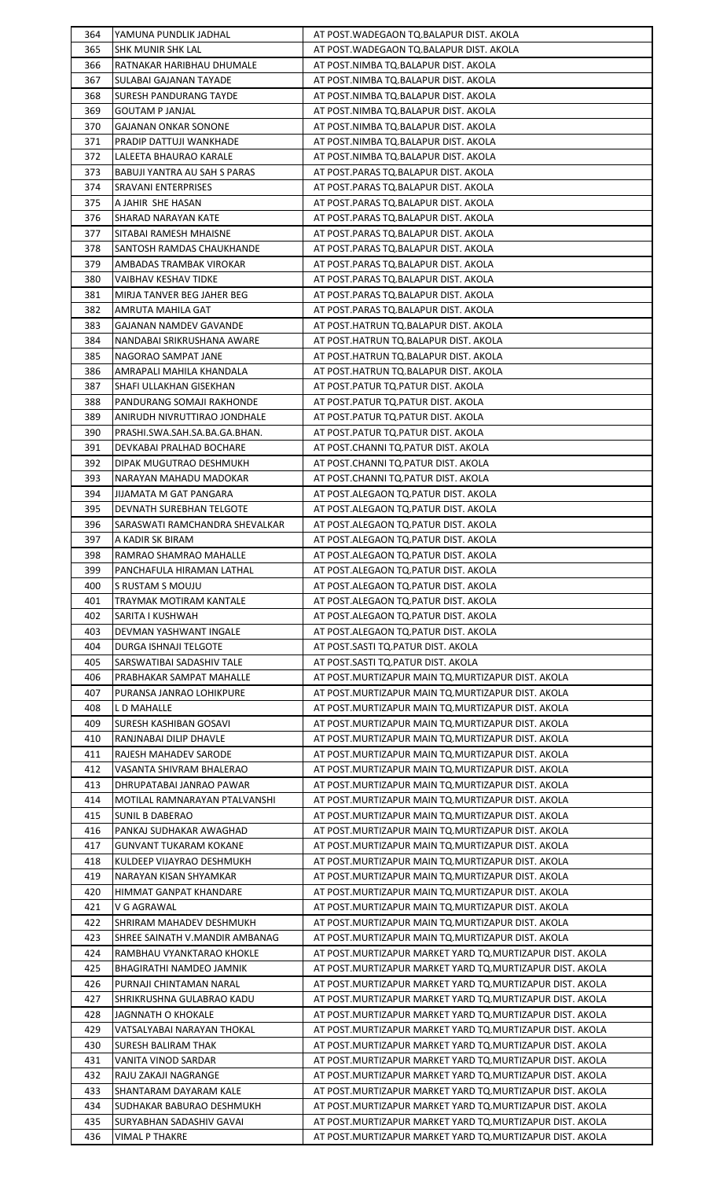| 364 | YAMUNA PUNDLIK JADHAL           | AT POST.WADEGAON TQ.BALAPUR DIST. AKOLA                    |
|-----|---------------------------------|------------------------------------------------------------|
| 365 | SHK MUNIR SHK LAL               | AT POST.WADEGAON TQ.BALAPUR DIST. AKOLA                    |
| 366 | RATNAKAR HARIBHAU DHUMALE       | AT POST.NIMBA TQ.BALAPUR DIST. AKOLA                       |
| 367 | SULABAI GAJANAN TAYADE          | AT POST.NIMBA TQ.BALAPUR DIST. AKOLA                       |
| 368 | <b>SURESH PANDURANG TAYDE</b>   | AT POST.NIMBA TQ.BALAPUR DIST. AKOLA                       |
| 369 | <b>GOUTAM P JANJAL</b>          | AT POST.NIMBA TQ.BALAPUR DIST. AKOLA                       |
| 370 | <b>GAJANAN ONKAR SONONE</b>     | AT POST.NIMBA TQ.BALAPUR DIST. AKOLA                       |
| 371 | PRADIP DATTUJI WANKHADE         | AT POST.NIMBA TQ.BALAPUR DIST. AKOLA                       |
| 372 | LALEETA BHAURAO KARALE          | AT POST.NIMBA TQ.BALAPUR DIST. AKOLA                       |
| 373 | BABUJI YANTRA AU SAH S PARAS    | AT POST.PARAS TQ.BALAPUR DIST. AKOLA                       |
| 374 | SRAVANI ENTERPRISES             | AT POST.PARAS TQ.BALAPUR DIST. AKOLA                       |
| 375 | A JAHIR SHE HASAN               | AT POST.PARAS TQ.BALAPUR DIST. AKOLA                       |
| 376 | SHARAD NARAYAN KATE             | AT POST.PARAS TQ.BALAPUR DIST. AKOLA                       |
| 377 | SITABAI RAMESH MHAISNE          | AT POST.PARAS TQ.BALAPUR DIST. AKOLA                       |
|     |                                 |                                                            |
| 378 | SANTOSH RAMDAS CHAUKHANDE       | AT POST.PARAS TQ.BALAPUR DIST. AKOLA                       |
| 379 | AMBADAS TRAMBAK VIROKAR         | AT POST.PARAS TO.BALAPUR DIST. AKOLA                       |
| 380 | VAIBHAV KESHAV TIDKE            | AT POST.PARAS TQ.BALAPUR DIST. AKOLA                       |
| 381 | MIRJA TANVER BEG JAHER BEG      | AT POST.PARAS TQ.BALAPUR DIST. AKOLA                       |
| 382 | AMRUTA MAHILA GAT               | AT POST.PARAS TQ.BALAPUR DIST. AKOLA                       |
| 383 | <b>GAJANAN NAMDEV GAVANDE</b>   | AT POST.HATRUN TQ.BALAPUR DIST. AKOLA                      |
| 384 | NANDABAI SRIKRUSHANA AWARE      | AT POST.HATRUN TQ.BALAPUR DIST. AKOLA                      |
| 385 | NAGORAO SAMPAT JANE             | AT POST.HATRUN TQ.BALAPUR DIST. AKOLA                      |
| 386 | AMRAPALI MAHILA KHANDALA        | AT POST.HATRUN TQ.BALAPUR DIST. AKOLA                      |
| 387 | SHAFI ULLAKHAN GISEKHAN         | AT POST.PATUR TQ.PATUR DIST. AKOLA                         |
| 388 | PANDURANG SOMAJI RAKHONDE       | AT POST.PATUR TQ.PATUR DIST. AKOLA                         |
| 389 | ANIRUDH NIVRUTTIRAO JONDHALE    | AT POST.PATUR TQ.PATUR DIST. AKOLA                         |
| 390 | PRASHI.SWA.SAH.SA.BA.GA.BHAN.   | AT POST.PATUR TQ.PATUR DIST. AKOLA                         |
| 391 | DEVKABAI PRALHAD BOCHARE        | AT POST.CHANNI TQ.PATUR DIST. AKOLA                        |
| 392 | DIPAK MUGUTRAO DESHMUKH         | AT POST.CHANNI TQ.PATUR DIST. AKOLA                        |
| 393 | NARAYAN MAHADU MADOKAR          | AT POST.CHANNI TQ.PATUR DIST. AKOLA                        |
| 394 | JIJAMATA M GAT PANGARA          | AT POST.ALEGAON TQ.PATUR DIST. AKOLA                       |
| 395 | DEVNATH SUREBHAN TELGOTE        | AT POST.ALEGAON TO.PATUR DIST. AKOLA                       |
| 396 | SARASWATI RAMCHANDRA SHEVALKAR  | AT POST.ALEGAON TO.PATUR DIST. AKOLA                       |
| 397 | A KADIR SK BIRAM                | AT POST.ALEGAON TQ.PATUR DIST. AKOLA                       |
| 398 | RAMRAO SHAMRAO MAHALLE          | AT POST.ALEGAON TQ.PATUR DIST. AKOLA                       |
| 399 | PANCHAFULA HIRAMAN LATHAL       | AT POST.ALEGAON TO.PATUR DIST. AKOLA                       |
| 400 | S RUSTAM S MOUJU                | AT POST.ALEGAON TQ.PATUR DIST. AKOLA                       |
| 401 | TRAYMAK MOTIRAM KANTALE         | AT POST.ALEGAON TO.PATUR DIST. AKOLA                       |
| 402 | SARITA I KUSHWAH                | AT POST.ALEGAON TQ.PATUR DIST. AKOLA                       |
| 403 | DEVMAN YASHWANT INGALE          | AT POST.ALEGAON TQ.PATUR DIST. AKOLA                       |
| 404 | DURGA ISHNAJI TELGOTE           | AT POST.SASTI TQ.PATUR DIST. AKOLA                         |
| 405 | SARSWATIBAI SADASHIV TALE       | AT POST.SASTI TQ.PATUR DIST. AKOLA                         |
| 406 | PRABHAKAR SAMPAT MAHALLE        | AT POST.MURTIZAPUR MAIN TO.MURTIZAPUR DIST. AKOLA          |
| 407 | PURANSA JANRAO LOHIKPURE        | AT POST.MURTIZAPUR MAIN TQ.MURTIZAPUR DIST. AKOLA          |
| 408 | L D MAHALLE                     | AT POST.MURTIZAPUR MAIN TQ.MURTIZAPUR DIST. AKOLA          |
| 409 | SURESH KASHIBAN GOSAVI          | AT POST.MURTIZAPUR MAIN TQ.MURTIZAPUR DIST. AKOLA          |
| 410 | RANJNABAI DILIP DHAVLE          | AT POST.MURTIZAPUR MAIN TQ.MURTIZAPUR DIST. AKOLA          |
| 411 | RAJESH MAHADEV SARODE           | AT POST. MURTIZAPUR MAIN TO. MURTIZAPUR DIST. AKOLA        |
| 412 | VASANTA SHIVRAM BHALERAO        | AT POST.MURTIZAPUR MAIN TQ.MURTIZAPUR DIST. AKOLA          |
| 413 | DHRUPATABAI JANRAO PAWAR        | AT POST.MURTIZAPUR MAIN TO.MURTIZAPUR DIST. AKOLA          |
| 414 | MOTILAL RAMNARAYAN PTALVANSHI   | AT POST.MURTIZAPUR MAIN TQ.MURTIZAPUR DIST. AKOLA          |
| 415 | <b>SUNIL B DABERAO</b>          | AT POST.MURTIZAPUR MAIN TQ.MURTIZAPUR DIST. AKOLA          |
| 416 | PANKAJ SUDHAKAR AWAGHAD         | AT POST.MURTIZAPUR MAIN TO.MURTIZAPUR DIST. AKOLA          |
| 417 | <b>GUNVANT TUKARAM KOKANE</b>   | AT POST.MURTIZAPUR MAIN TQ.MURTIZAPUR DIST. AKOLA          |
| 418 | KULDEEP VIJAYRAO DESHMUKH       | AT POST.MURTIZAPUR MAIN TO.MURTIZAPUR DIST. AKOLA          |
| 419 | NARAYAN KISAN SHYAMKAR          | AT POST.MURTIZAPUR MAIN TQ.MURTIZAPUR DIST. AKOLA          |
| 420 | HIMMAT GANPAT KHANDARE          | AT POST.MURTIZAPUR MAIN TQ.MURTIZAPUR DIST. AKOLA          |
| 421 | V G AGRAWAL                     | AT POST.MURTIZAPUR MAIN TO.MURTIZAPUR DIST. AKOLA          |
| 422 | SHRIRAM MAHADEV DESHMUKH        | AT POST. MURTIZAPUR MAIN TO. MURTIZAPUR DIST. AKOLA        |
| 423 | SHREE SAINATH V.MANDIR AMBANAG  | AT POST. MURTIZAPUR MAIN TO. MURTIZAPUR DIST. AKOLA        |
| 424 | RAMBHAU VYANKTARAO KHOKLE       | AT POST.MURTIZAPUR MARKET YARD TO.MURTIZAPUR DIST. AKOLA   |
| 425 | <b>BHAGIRATHI NAMDEO JAMNIK</b> | AT POST.MURTIZAPUR MARKET YARD TO.MURTIZAPUR DIST. AKOLA   |
| 426 | PURNAJI CHINTAMAN NARAL         | AT POST.MURTIZAPUR MARKET YARD TO.MURTIZAPUR DIST. AKOLA   |
| 427 | SHRIKRUSHNA GULABRAO KADU       | AT POST.MURTIZAPUR MARKET YARD TQ.MURTIZAPUR DIST. AKOLA   |
| 428 | JAGNNATH O KHOKALE              | AT POST.MURTIZAPUR MARKET YARD TQ.MURTIZAPUR DIST. AKOLA   |
| 429 | VATSALYABAI NARAYAN THOKAL      | AT POST.MURTIZAPUR MARKET YARD TO.MURTIZAPUR DIST. AKOLA   |
| 430 | <b>SURESH BALIRAM THAK</b>      | AT POST.MURTIZAPUR MARKET YARD TQ.MURTIZAPUR DIST. AKOLA   |
| 431 | VANITA VINOD SARDAR             | AT POST. MURTIZAPUR MARKET YARD TQ. MURTIZAPUR DIST. AKOLA |
| 432 | RAJU ZAKAJI NAGRANGE            | AT POST.MURTIZAPUR MARKET YARD TQ.MURTIZAPUR DIST. AKOLA   |
| 433 | SHANTARAM DAYARAM KALE          | AT POST.MURTIZAPUR MARKET YARD TO.MURTIZAPUR DIST. AKOLA   |
| 434 | SUDHAKAR BABURAO DESHMUKH       | AT POST.MURTIZAPUR MARKET YARD TQ.MURTIZAPUR DIST. AKOLA   |
| 435 | SURYABHAN SADASHIV GAVAI        | AT POST.MURTIZAPUR MARKET YARD TQ.MURTIZAPUR DIST. AKOLA   |
| 436 | <b>VIMAL P THAKRE</b>           | AT POST. MURTIZAPUR MARKET YARD TQ. MURTIZAPUR DIST. AKOLA |
|     |                                 |                                                            |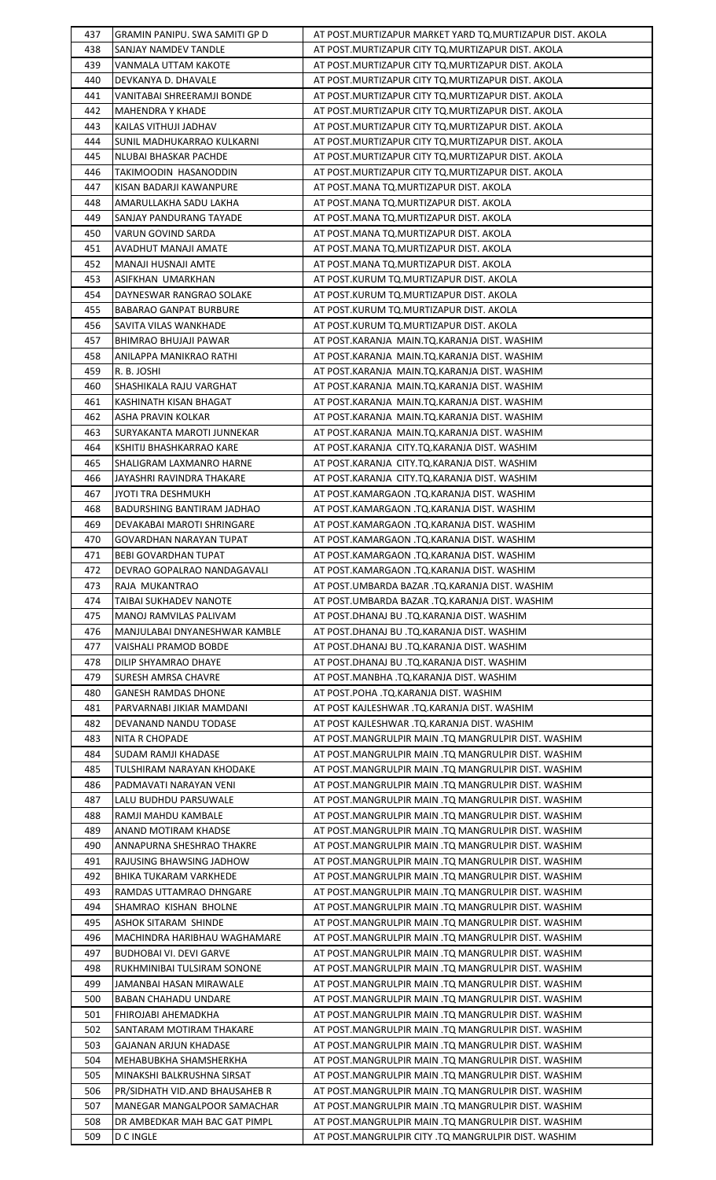| 437        | GRAMIN PANIPU. SWA SAMITI GP D                       | AT POST.MURTIZAPUR MARKET YARD TQ.MURTIZAPUR DIST. AKOLA                                                   |
|------------|------------------------------------------------------|------------------------------------------------------------------------------------------------------------|
| 438        | SANJAY NAMDEV TANDLE                                 | AT POST.MURTIZAPUR CITY TQ.MURTIZAPUR DIST. AKOLA                                                          |
| 439        | VANMALA UTTAM KAKOTE                                 | AT POST.MURTIZAPUR CITY TO.MURTIZAPUR DIST. AKOLA                                                          |
| 440        | DEVKANYA D. DHAVALE                                  | AT POST.MURTIZAPUR CITY TQ.MURTIZAPUR DIST. AKOLA                                                          |
| 441        | VANITABAI SHREERAMJI BONDE                           | AT POST.MURTIZAPUR CITY TQ.MURTIZAPUR DIST. AKOLA                                                          |
| 442        | MAHENDRA Y KHADE                                     | AT POST.MURTIZAPUR CITY TQ.MURTIZAPUR DIST. AKOLA                                                          |
| 443        | KAILAS VITHUJI JADHAV                                | AT POST. MURTIZAPUR CITY TQ. MURTIZAPUR DIST. AKOLA                                                        |
| 444        | SUNIL MADHUKARRAO KULKARNI                           | AT POST.MURTIZAPUR CITY TQ.MURTIZAPUR DIST. AKOLA                                                          |
| 445        | NLUBAI BHASKAR PACHDE                                | AT POST.MURTIZAPUR CITY TQ.MURTIZAPUR DIST. AKOLA                                                          |
| 446        | TAKIMOODIN HASANODDIN                                | AT POST. MURTIZAPUR CITY TO. MURTIZAPUR DIST. AKOLA                                                        |
| 447        | KISAN BADARJI KAWANPURE                              | AT POST.MANA TQ.MURTIZAPUR DIST. AKOLA                                                                     |
| 448        | AMARULLAKHA SADU LAKHA                               | AT POST.MANA TQ.MURTIZAPUR DIST. AKOLA                                                                     |
| 449        | SANJAY PANDURANG TAYADE                              | AT POST.MANA TQ.MURTIZAPUR DIST. AKOLA                                                                     |
| 450        | VARUN GOVIND SARDA                                   | AT POST.MANA TQ.MURTIZAPUR DIST. AKOLA                                                                     |
| 451        | AVADHUT MANAJI AMATE                                 | AT POST.MANA TQ.MURTIZAPUR DIST. AKOLA                                                                     |
| 452        | MANAJI HUSNAJI AMTE                                  | AT POST.MANA TQ.MURTIZAPUR DIST. AKOLA                                                                     |
| 453        | ASIFKHAN UMARKHAN                                    | AT POST.KURUM TQ.MURTIZAPUR DIST. AKOLA                                                                    |
| 454        | DAYNESWAR RANGRAO SOLAKE                             | AT POST.KURUM TQ.MURTIZAPUR DIST. AKOLA                                                                    |
| 455        |                                                      |                                                                                                            |
|            | BABARAO GANPAT BURBURE                               | AT POST.KURUM TQ.MURTIZAPUR DIST. AKOLA                                                                    |
| 456        | SAVITA VILAS WANKHADE                                | AT POST.KURUM TQ.MURTIZAPUR DIST. AKOLA                                                                    |
| 457        | <b>BHIMRAO BHUJAJI PAWAR</b>                         | AT POST.KARANJA MAIN.TQ.KARANJA DIST. WASHIM                                                               |
| 458        | ANILAPPA MANIKRAO RATHI                              | AT POST.KARANJA MAIN.TQ.KARANJA DIST. WASHIM                                                               |
| 459        | R. B. JOSHI                                          | AT POST.KARANJA MAIN.TQ.KARANJA DIST. WASHIM                                                               |
| 460        | SHASHIKALA RAJU VARGHAT                              | AT POST.KARANJA MAIN.TQ.KARANJA DIST. WASHIM                                                               |
| 461        | KASHINATH KISAN BHAGAT                               | AT POST.KARANJA MAIN.TQ.KARANJA DIST. WASHIM                                                               |
| 462        | ASHA PRAVIN KOLKAR                                   | AT POST.KARANJA MAIN.TQ.KARANJA DIST. WASHIM                                                               |
| 463        | SURYAKANTA MAROTI JUNNEKAR                           | AT POST.KARANJA MAIN.TQ.KARANJA DIST. WASHIM                                                               |
| 464        | KSHITIJ BHASHKARRAO KARE                             | AT POST.KARANJA CITY.TQ.KARANJA DIST. WASHIM                                                               |
| 465        | SHALIGRAM LAXMANRO HARNE                             | AT POST.KARANJA CITY.TQ.KARANJA DIST. WASHIM                                                               |
| 466        | JAYASHRI RAVINDRA THAKARE                            | AT POST.KARANJA CITY.TQ.KARANJA DIST. WASHIM                                                               |
| 467        | JYOTI TRA DESHMUKH                                   | AT POST.KAMARGAON .TQ.KARANJA DIST. WASHIM                                                                 |
| 468        | BADURSHING BANTIRAM JADHAO                           | AT POST.KAMARGAON .TQ.KARANJA DIST. WASHIM                                                                 |
| 469        | DEVAKABAI MAROTI SHRINGARE                           | AT POST.KAMARGAON .TQ.KARANJA DIST. WASHIM                                                                 |
| 470        | GOVARDHAN NARAYAN TUPAT                              | AT POST.KAMARGAON .TQ.KARANJA DIST. WASHIM                                                                 |
| 471        | <b>BEBI GOVARDHAN TUPAT</b>                          | AT POST.KAMARGAON .TQ.KARANJA DIST. WASHIM                                                                 |
| 472        | DEVRAO GOPALRAO NANDAGAVALI                          | AT POST.KAMARGAON .TQ.KARANJA DIST. WASHIM                                                                 |
| 473        | RAJA MUKANTRAO                                       | AT POST.UMBARDA BAZAR .TQ.KARANJA DIST. WASHIM                                                             |
| 474        | TAIBAI SUKHADEV NANOTE                               | AT POST.UMBARDA BAZAR .TQ.KARANJA DIST. WASHIM                                                             |
|            |                                                      |                                                                                                            |
| 475        | MANOJ RAMVILAS PALIVAM                               | AT POST.DHANAJ BU .TQ.KARANJA DIST. WASHIM                                                                 |
| 476        | MANJULABAI DNYANESHWAR KAMBLE                        | AT POST.DHANAJ BU .TQ.KARANJA DIST. WASHIM                                                                 |
| 477        | VAISHALI PRAMOD BOBDE                                | AT POST.DHANAJ BU .TQ.KARANJA DIST. WASHIM                                                                 |
| 478        | DILIP SHYAMRAO DHAYE                                 | AT POST.DHANAJ BU .TQ.KARANJA DIST. WASHIM                                                                 |
| 479        | SURESH AMRSA CHAVRE                                  | AT POST.MANBHA .TQ.KARANJA DIST. WASHIM                                                                    |
| 480        | <b>GANESH RAMDAS DHONE</b>                           | AT POST.POHA .TQ.KARANJA DIST. WASHIM                                                                      |
| 481        | PARVARNABI JIKIAR MAMDANI                            | AT POST KAJLESHWAR .TQ.KARANJA DIST. WASHIM                                                                |
| 482        | DEVANAND NANDU TODASE                                | AT POST KAJLESHWAR .TQ.KARANJA DIST. WASHIM                                                                |
| 483        | NITA R CHOPADE                                       | AT POST.MANGRULPIR MAIN .TQ MANGRULPIR DIST. WASHIM                                                        |
| 484        | SUDAM RAMJI KHADASE                                  | AT POST.MANGRULPIR MAIN .TQ MANGRULPIR DIST. WASHIM                                                        |
| 485        | TULSHIRAM NARAYAN KHODAKE                            | AT POST.MANGRULPIR MAIN .TQ MANGRULPIR DIST. WASHIM                                                        |
| 486        | PADMAVATI NARAYAN VENI                               | AT POST.MANGRULPIR MAIN .TQ MANGRULPIR DIST. WASHIM                                                        |
| 487        | LALU BUDHDU PARSUWALE                                | AT POST.MANGRULPIR MAIN .TQ MANGRULPIR DIST. WASHIM                                                        |
| 488        | RAMJI MAHDU KAMBALE                                  | AT POST.MANGRULPIR MAIN .TQ MANGRULPIR DIST. WASHIM                                                        |
| 489        | ANAND MOTIRAM KHADSE                                 | AT POST.MANGRULPIR MAIN .TQ MANGRULPIR DIST. WASHIM                                                        |
| 490        | ANNAPURNA SHESHRAO THAKRE                            | AT POST.MANGRULPIR MAIN .TQ MANGRULPIR DIST. WASHIM                                                        |
| 491        | RAJUSING BHAWSING JADHOW                             | AT POST.MANGRULPIR MAIN .TQ MANGRULPIR DIST. WASHIM                                                        |
| 492        | BHIKA TUKARAM VARKHEDE                               | AT POST.MANGRULPIR MAIN .TQ MANGRULPIR DIST. WASHIM                                                        |
| 493        |                                                      |                                                                                                            |
|            | RAMDAS UTTAMRAO DHNGARE                              | AT POST.MANGRULPIR MAIN .TQ MANGRULPIR DIST. WASHIM                                                        |
| 494        | SHAMRAO KISHAN BHOLNE                                | AT POST.MANGRULPIR MAIN .TQ MANGRULPIR DIST. WASHIM                                                        |
| 495        | ASHOK SITARAM SHINDE<br>MACHINDRA HARIBHAU WAGHAMARE | AT POST.MANGRULPIR MAIN .TQ MANGRULPIR DIST. WASHIM                                                        |
| 496        |                                                      | AT POST.MANGRULPIR MAIN .TQ MANGRULPIR DIST. WASHIM                                                        |
| 497        | <b>BUDHOBAI VI. DEVI GARVE</b>                       | AT POST.MANGRULPIR MAIN .TQ MANGRULPIR DIST. WASHIM                                                        |
| 498        | RUKHMINIBAI TULSIRAM SONONE                          | AT POST.MANGRULPIR MAIN .TQ MANGRULPIR DIST. WASHIM                                                        |
| 499        | JAMANBAI HASAN MIRAWALE                              | AT POST.MANGRULPIR MAIN .TQ MANGRULPIR DIST. WASHIM                                                        |
| 500        | <b>BABAN CHAHADU UNDARE</b>                          | AT POST.MANGRULPIR MAIN .TO MANGRULPIR DIST. WASHIM                                                        |
| 501        | FHIROJABI AHEMADKHA                                  | AT POST.MANGRULPIR MAIN .TO MANGRULPIR DIST. WASHIM                                                        |
| 502        | SANTARAM MOTIRAM THAKARE                             | AT POST.MANGRULPIR MAIN .TQ MANGRULPIR DIST. WASHIM                                                        |
| 503        | GAJANAN ARJUN KHADASE                                | AT POST.MANGRULPIR MAIN .TQ MANGRULPIR DIST. WASHIM                                                        |
| 504        | MEHABUBKHA SHAMSHERKHA                               | AT POST.MANGRULPIR MAIN .TQ MANGRULPIR DIST. WASHIM                                                        |
| 505        | MINAKSHI BALKRUSHNA SIRSAT                           | AT POST.MANGRULPIR MAIN .TQ MANGRULPIR DIST. WASHIM                                                        |
| 506        | PR/SIDHATH VID.AND BHAUSAHEB R                       | AT POST.MANGRULPIR MAIN .TQ MANGRULPIR DIST. WASHIM                                                        |
| 507        | MANEGAR MANGALPOOR SAMACHAR                          | AT POST.MANGRULPIR MAIN .TQ MANGRULPIR DIST. WASHIM                                                        |
| 508<br>509 | DR AMBEDKAR MAH BAC GAT PIMPL<br><b>D C INGLE</b>    | AT POST.MANGRULPIR MAIN .TQ MANGRULPIR DIST. WASHIM<br>AT POST.MANGRULPIR CITY .TQ MANGRULPIR DIST. WASHIM |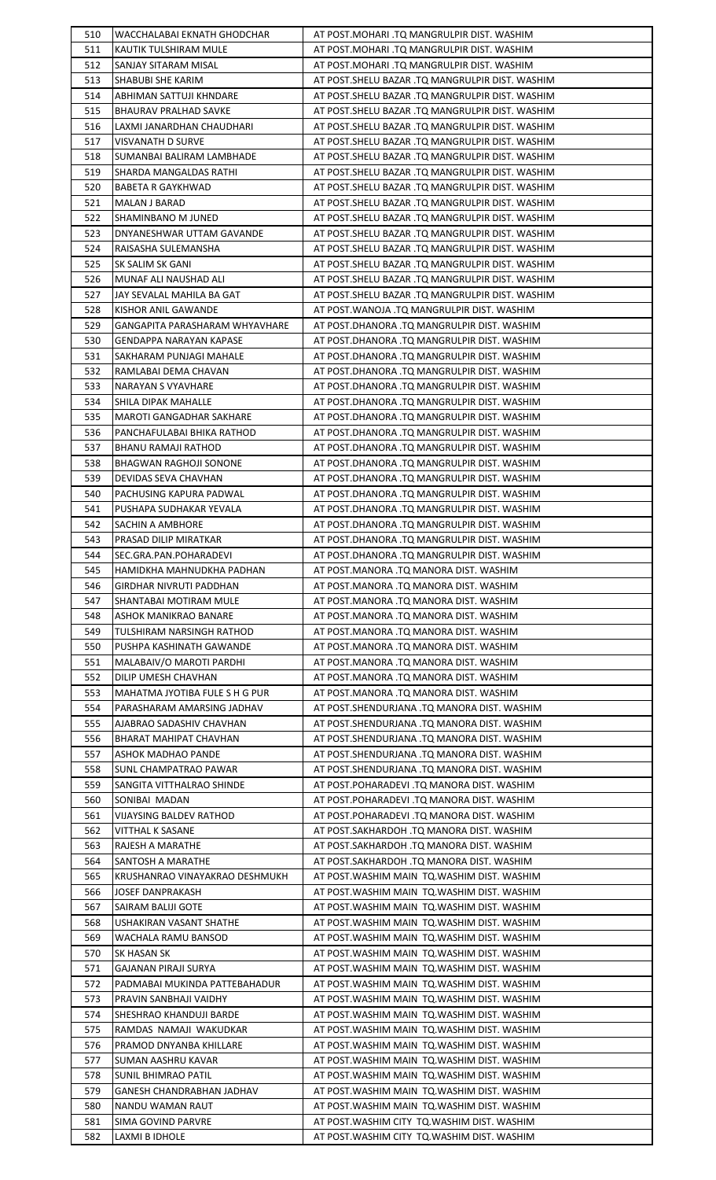| 510        | WACCHALABAI EKNATH GHODCHAR                 | AT POST.MOHARI .TQ MANGRULPIR DIST. WASHIM                                                 |
|------------|---------------------------------------------|--------------------------------------------------------------------------------------------|
| 511        | KAUTIK TULSHIRAM MULE                       | AT POST.MOHARI .TQ MANGRULPIR DIST. WASHIM                                                 |
| 512        | SANJAY SITARAM MISAL                        | AT POST.MOHARI .TQ MANGRULPIR DIST. WASHIM                                                 |
| 513        | SHABUBI SHE KARIM                           | AT POST.SHELU BAZAR .TQ MANGRULPIR DIST. WASHIM                                            |
| 514        | ABHIMAN SATTUJI KHNDARE                     | AT POST.SHELU BAZAR .TQ MANGRULPIR DIST. WASHIM                                            |
| 515        | <b>BHAURAV PRALHAD SAVKE</b>                | AT POST. SHELU BAZAR .TQ MANGRULPIR DIST. WASHIM                                           |
| 516        | LAXMI JANARDHAN CHAUDHARI                   | AT POST.SHELU BAZAR .TQ MANGRULPIR DIST. WASHIM                                            |
| 517        | VISVANATH D SURVE                           | AT POST.SHELU BAZAR .TQ MANGRULPIR DIST. WASHIM                                            |
| 518        | SUMANBAI BALIRAM LAMBHADE                   | AT POST. SHELU BAZAR .TQ MANGRULPIR DIST. WASHIM                                           |
| 519        | SHARDA MANGALDAS RATHI                      | AT POST.SHELU BAZAR .TQ MANGRULPIR DIST. WASHIM                                            |
| 520        | BABETA R GAYKHWAD                           | AT POST.SHELU BAZAR .TQ MANGRULPIR DIST. WASHIM                                            |
| 521        | MALAN J BARAD                               | AT POST.SHELU BAZAR .TQ MANGRULPIR DIST. WASHIM                                            |
| 522        | SHAMINBANO M JUNED                          | AT POST.SHELU BAZAR .TQ MANGRULPIR DIST. WASHIM                                            |
| 523        | DNYANESHWAR UTTAM GAVANDE                   | AT POST.SHELU BAZAR .TQ MANGRULPIR DIST. WASHIM                                            |
| 524        | RAISASHA SULEMANSHA                         | AT POST.SHELU BAZAR .TQ MANGRULPIR DIST. WASHIM                                            |
| 525        | SK SALIM SK GANI                            | AT POST.SHELU BAZAR .TQ MANGRULPIR DIST. WASHIM                                            |
|            |                                             |                                                                                            |
| 526        | MUNAF ALI NAUSHAD ALI                       | AT POST.SHELU BAZAR .TQ MANGRULPIR DIST. WASHIM                                            |
| 527        | JAY SEVALAL MAHILA BA GAT                   | AT POST.SHELU BAZAR .TQ MANGRULPIR DIST. WASHIM                                            |
| 528        | KISHOR ANIL GAWANDE                         | AT POST. WANOJA .TQ MANGRULPIR DIST. WASHIM                                                |
| 529        | GANGAPITA PARASHARAM WHYAVHARE              | AT POST.DHANORA .TQ MANGRULPIR DIST. WASHIM                                                |
| 530        | <b>GENDAPPA NARAYAN KAPASE</b>              | AT POST.DHANORA .TQ MANGRULPIR DIST. WASHIM                                                |
| 531        | SAKHARAM PUNJAGI MAHALE                     | AT POST.DHANORA .TQ MANGRULPIR DIST. WASHIM                                                |
| 532        | RAMLABAI DEMA CHAVAN                        | AT POST.DHANORA .TQ MANGRULPIR DIST. WASHIM                                                |
| 533        | NARAYAN S VYAVHARE                          | AT POST.DHANORA .TQ MANGRULPIR DIST. WASHIM                                                |
| 534        | SHILA DIPAK MAHALLE                         | AT POST.DHANORA .TQ MANGRULPIR DIST. WASHIM                                                |
| 535        | MAROTI GANGADHAR SAKHARE                    | AT POST.DHANORA .TQ MANGRULPIR DIST. WASHIM                                                |
| 536        | PANCHAFULABAI BHIKA RATHOD                  | AT POST.DHANORA .TQ MANGRULPIR DIST. WASHIM                                                |
| 537        | BHANU RAMAJI RATHOD                         | AT POST.DHANORA .TQ MANGRULPIR DIST. WASHIM                                                |
| 538        | BHAGWAN RAGHOJI SONONE                      | AT POST.DHANORA .TQ MANGRULPIR DIST. WASHIM                                                |
| 539        | DEVIDAS SEVA CHAVHAN                        | AT POST.DHANORA .TQ MANGRULPIR DIST. WASHIM                                                |
| 540        | PACHUSING KAPURA PADWAL                     | AT POST.DHANORA .TQ MANGRULPIR DIST. WASHIM                                                |
| 541        | PUSHAPA SUDHAKAR YEVALA                     | AT POST.DHANORA .TQ MANGRULPIR DIST. WASHIM                                                |
| 542        | SACHIN A AMBHORE                            | AT POST.DHANORA .TQ MANGRULPIR DIST. WASHIM                                                |
| 543        | PRASAD DILIP MIRATKAR                       | AT POST.DHANORA .TQ MANGRULPIR DIST. WASHIM                                                |
| 544        | SEC.GRA.PAN.POHARADEVI                      | AT POST.DHANORA .TQ MANGRULPIR DIST. WASHIM                                                |
| 545        | HAMIDKHA MAHNUDKHA PADHAN                   | AT POST.MANORA .TQ MANORA DIST. WASHIM                                                     |
| 546        | GIRDHAR NIVRUTI PADDHAN                     | AT POST.MANORA .TQ MANORA DIST. WASHIM                                                     |
| 547        | SHANTABAI MOTIRAM MULE                      | AT POST.MANORA .TQ MANORA DIST. WASHIM                                                     |
| 548        | ASHOK MANIKRAO BANARE                       | AT POST.MANORA .TQ MANORA DIST. WASHIM                                                     |
| 549        | TULSHIRAM NARSINGH RATHOD                   | AT POST.MANORA .TQ MANORA DIST. WASHIM                                                     |
| 550        | PUSHPA KASHINATH GAWANDE                    | AT POST.MANORA .TQ MANORA DIST. WASHIM                                                     |
| 551        | MALABAIV/O MAROTI PARDHI                    | AT POST.MANORA .TQ MANORA DIST. WASHIM                                                     |
| 552        | DILIP UMESH CHAVHAN                         | AT POST.MANORA .TO MANORA DIST. WASHIM                                                     |
| 553        | MAHATMA JYOTIBA FULE S H G PUR              | AT POST.MANORA .TQ MANORA DIST. WASHIM                                                     |
| 554        | PARASHARAM AMARSING JADHAV                  | AT POST.SHENDURJANA .TQ MANORA DIST. WASHIM                                                |
| 555        | AJABRAO SADASHIV CHAVHAN                    | AT POST.SHENDURJANA .TQ MANORA DIST. WASHIM                                                |
| 556        | BHARAT MAHIPAT CHAVHAN                      | AT POST.SHENDURJANA .TQ MANORA DIST. WASHIM                                                |
|            |                                             |                                                                                            |
| 557<br>558 | ASHOK MADHAO PANDE<br>SUNL CHAMPATRAO PAWAR | AT POST.SHENDURJANA .TQ MANORA DIST. WASHIM<br>AT POST.SHENDURJANA .TQ MANORA DIST. WASHIM |
|            |                                             |                                                                                            |
| 559        | SANGITA VITTHALRAO SHINDE                   | AT POST.POHARADEVI .TQ MANORA DIST. WASHIM                                                 |
| 560        | SONIBAI MADAN                               | AT POST.POHARADEVI .TQ MANORA DIST. WASHIM                                                 |
| 561        | VIJAYSING BALDEV RATHOD                     | AT POST.POHARADEVI .TQ MANORA DIST. WASHIM                                                 |
| 562        | VITTHAL K SASANE                            | AT POST.SAKHARDOH .TQ MANORA DIST. WASHIM                                                  |
| 563        | RAJESH A MARATHE                            | AT POST.SAKHARDOH .TQ MANORA DIST. WASHIM                                                  |
| 564        | SANTOSH A MARATHE                           | AT POST.SAKHARDOH .TQ MANORA DIST. WASHIM                                                  |
| 565        | KRUSHANRAO VINAYAKRAO DESHMUKH              | AT POST. WASHIM MAIN TO. WASHIM DIST. WASHIM                                               |
| 566        | <b>JOSEF DANPRAKASH</b>                     | AT POST.WASHIM MAIN TQ.WASHIM DIST. WASHIM                                                 |
| 567        | SAIRAM BALIJI GOTE                          | AT POST.WASHIM MAIN TQ.WASHIM DIST. WASHIM                                                 |
| 568        | USHAKIRAN VASANT SHATHE                     | AT POST. WASHIM MAIN TO. WASHIM DIST. WASHIM                                               |
| 569        | WACHALA RAMU BANSOD                         | AT POST. WASHIM MAIN TO. WASHIM DIST. WASHIM                                               |
| 570        | SK HASAN SK                                 | AT POST. WASHIM MAIN TO. WASHIM DIST. WASHIM                                               |
| 571        | GAJANAN PIRAJI SURYA                        | AT POST. WASHIM MAIN TO. WASHIM DIST. WASHIM                                               |
| 572        |                                             |                                                                                            |
|            | PADMABAI MUKINDA PATTEBAHADUR               | AT POST.WASHIM MAIN TQ.WASHIM DIST. WASHIM                                                 |
| 573        | PRAVIN SANBHAJI VAIDHY                      | AT POST. WASHIM MAIN TO. WASHIM DIST. WASHIM                                               |
| 574        | SHESHRAO KHANDUJI BARDE                     | AT POST. WASHIM MAIN TO. WASHIM DIST. WASHIM                                               |
| 575        | RAMDAS NAMAJI WAKUDKAR                      | AT POST. WASHIM MAIN TO. WASHIM DIST. WASHIM                                               |
| 576        | PRAMOD DNYANBA KHILLARE                     | AT POST. WASHIM MAIN TO. WASHIM DIST. WASHIM                                               |
| 577        | SUMAN AASHRU KAVAR                          | AT POST. WASHIM MAIN TO. WASHIM DIST. WASHIM                                               |
| 578        | SUNIL BHIMRAO PATIL                         | AT POST. WASHIM MAIN TO. WASHIM DIST. WASHIM                                               |
| 579        | GANESH CHANDRABHAN JADHAV                   | AT POST. WASHIM MAIN TO. WASHIM DIST. WASHIM                                               |
| 580        | NANDU WAMAN RAUT                            | AT POST. WASHIM MAIN TO. WASHIM DIST. WASHIM                                               |
| 581        | SIMA GOVIND PARVRE                          | AT POST. WASHIM CITY TO. WASHIM DIST. WASHIM                                               |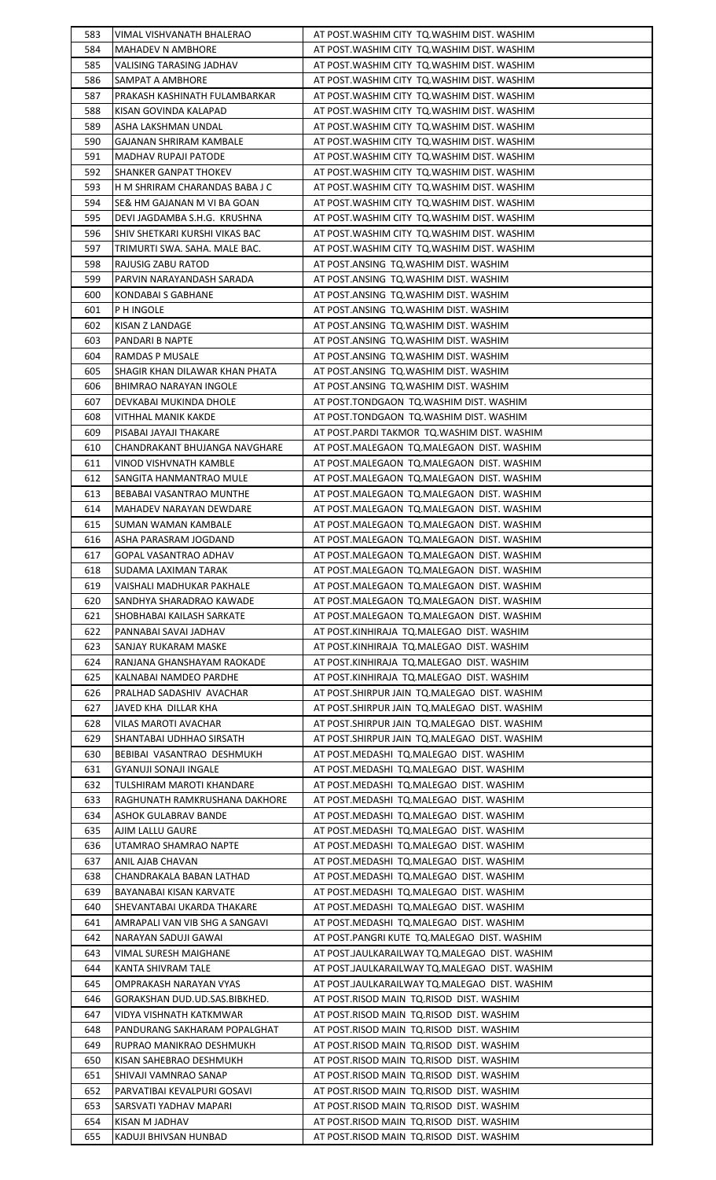| 583        | VIMAL VISHVANATH BHALERAO                     | AT POST. WASHIM CITY TO. WASHIM DIST. WASHIM                                                   |
|------------|-----------------------------------------------|------------------------------------------------------------------------------------------------|
| 584        | <b>MAHADEV N AMBHORE</b>                      | AT POST. WASHIM CITY TO. WASHIM DIST. WASHIM                                                   |
| 585        | VALISING TARASING JADHAV                      | AT POST. WASHIM CITY TQ. WASHIM DIST. WASHIM                                                   |
| 586        | SAMPAT A AMBHORE                              | AT POST. WASHIM CITY TO. WASHIM DIST. WASHIM                                                   |
| 587        | PRAKASH KASHINATH FULAMBARKAR                 | AT POST. WASHIM CITY TO. WASHIM DIST. WASHIM                                                   |
| 588        | KISAN GOVINDA KALAPAD                         | AT POST. WASHIM CITY TQ. WASHIM DIST. WASHIM                                                   |
| 589        | ASHA LAKSHMAN UNDAL                           | AT POST. WASHIM CITY TQ. WASHIM DIST. WASHIM                                                   |
| 590        | GAJANAN SHRIRAM KAMBALE                       | AT POST. WASHIM CITY TO. WASHIM DIST. WASHIM                                                   |
| 591        | <b>MADHAV RUPAJI PATODE</b>                   | AT POST. WASHIM CITY TO. WASHIM DIST. WASHIM                                                   |
| 592        | SHANKER GANPAT THOKEV                         | AT POST. WASHIM CITY TO. WASHIM DIST. WASHIM                                                   |
| 593        | H M SHRIRAM CHARANDAS BABA J C                | AT POST. WASHIM CITY TQ. WASHIM DIST. WASHIM                                                   |
| 594        | SE& HM GAJANAN M VI BA GOAN                   | AT POST. WASHIM CITY TQ. WASHIM DIST. WASHIM                                                   |
| 595        | DEVI JAGDAMBA S.H.G. KRUSHNA                  | AT POST. WASHIM CITY TQ. WASHIM DIST. WASHIM                                                   |
| 596        | SHIV SHETKARI KURSHI VIKAS BAC                | AT POST. WASHIM CITY TO. WASHIM DIST. WASHIM                                                   |
| 597        | TRIMURTI SWA. SAHA. MALE BAC.                 | AT POST. WASHIM CITY TQ. WASHIM DIST. WASHIM                                                   |
| 598        | RAJUSIG ZABU RATOD                            | AT POST.ANSING TQ.WASHIM DIST. WASHIM                                                          |
| 599        | PARVIN NARAYANDASH SARADA                     | AT POST.ANSING TQ.WASHIM DIST. WASHIM                                                          |
| 600        | KONDABAI S GABHANE                            | AT POST.ANSING TQ.WASHIM DIST. WASHIM                                                          |
| 601        | P H INGOLE                                    | AT POST.ANSING TQ.WASHIM DIST. WASHIM                                                          |
| 602        | KISAN Z LANDAGE                               | AT POST.ANSING TQ.WASHIM DIST. WASHIM                                                          |
| 603        | PANDARI B NAPTE                               | AT POST.ANSING TQ.WASHIM DIST. WASHIM                                                          |
| 604        | RAMDAS P MUSALE                               | AT POST.ANSING TQ.WASHIM DIST. WASHIM                                                          |
| 605        | SHAGIR KHAN DILAWAR KHAN PHATA                | AT POST.ANSING TQ.WASHIM DIST. WASHIM                                                          |
| 606        | BHIMRAO NARAYAN INGOLE                        | AT POST.ANSING TQ.WASHIM DIST. WASHIM                                                          |
| 607        | DEVKABAI MUKINDA DHOLE                        | AT POST.TONDGAON TQ.WASHIM DIST. WASHIM                                                        |
| 608        | VITHHAL MANIK KAKDE                           | AT POST.TONDGAON TQ.WASHIM DIST. WASHIM                                                        |
| 609        | PISABAI JAYAJI THAKARE                        | AT POST.PARDI TAKMOR TQ.WASHIM DIST. WASHIM                                                    |
| 610        | CHANDRAKANT BHUJANGA NAVGHARE                 | AT POST.MALEGAON TQ.MALEGAON DIST. WASHIM                                                      |
| 611        | VINOD VISHVNATH KAMBLE                        | AT POST.MALEGAON TQ.MALEGAON DIST. WASHIM                                                      |
| 612        | SANGITA HANMANTRAO MULE                       | AT POST.MALEGAON TQ.MALEGAON DIST. WASHIM                                                      |
| 613        | <b>BEBABAI VASANTRAO MUNTHE</b>               | AT POST.MALEGAON TQ.MALEGAON DIST. WASHIM                                                      |
| 614        | MAHADEV NARAYAN DEWDARE                       | AT POST.MALEGAON TQ.MALEGAON DIST. WASHIM                                                      |
| 615        | SUMAN WAMAN KAMBALE                           | AT POST.MALEGAON TQ.MALEGAON DIST. WASHIM                                                      |
| 616        | ASHA PARASRAM JOGDAND                         | AT POST.MALEGAON TQ.MALEGAON DIST. WASHIM                                                      |
| 617        | <b>GOPAL VASANTRAO ADHAV</b>                  | AT POST.MALEGAON TQ.MALEGAON DIST. WASHIM                                                      |
| 618        | SUDAMA LAXIMAN TARAK                          | AT POST.MALEGAON TQ.MALEGAON DIST. WASHIM                                                      |
| 619        | VAISHALI MADHUKAR PAKHALE                     | AT POST.MALEGAON TQ.MALEGAON DIST. WASHIM                                                      |
| 620        | SANDHYA SHARADRAO KAWADE                      | AT POST.MALEGAON TQ.MALEGAON DIST. WASHIM                                                      |
| 621        | SHOBHABAI KAILASH SARKATE                     | AT POST.MALEGAON TQ.MALEGAON DIST. WASHIM                                                      |
| 622        | PANNABAI SAVAI JADHAV                         | AT POST.KINHIRAJA TQ.MALEGAO DIST. WASHIM                                                      |
| 623        | SANJAY RUKARAM MASKE                          | AT POST.KINHIRAJA TQ.MALEGAO DIST. WASHIM                                                      |
| 624        | RANJANA GHANSHAYAM RAOKADE                    | AT POST.KINHIRAJA TQ.MALEGAO DIST. WASHIM                                                      |
| 625        | KALNABAI NAMDEO PARDHE                        | AT POST.KINHIRAJA TQ.MALEGAO DIST. WASHIM                                                      |
| 626        | PRALHAD SADASHIV AVACHAR                      | AT POST.SHIRPUR JAIN TQ.MALEGAO DIST. WASHIM                                                   |
| 627        | JAVED KHA DILLAR KHA                          | AT POST.SHIRPUR JAIN TQ.MALEGAO DIST. WASHIM                                                   |
| 628        | VILAS MAROTI AVACHAR                          | AT POST.SHIRPUR JAIN TQ.MALEGAO DIST. WASHIM                                                   |
| 629        | SHANTABAI UDHHAO SIRSATH                      | AT POST.SHIRPUR JAIN TQ.MALEGAO DIST. WASHIM                                                   |
| 630        | BEBIBAI VASANTRAO DESHMUKH                    | AT POST.MEDASHI TQ.MALEGAO DIST. WASHIM                                                        |
| 631        | GYANUJI SONAJI INGALE                         | AT POST.MEDASHI TQ.MALEGAO DIST. WASHIM                                                        |
| 632        | TULSHIRAM MAROTI KHANDARE                     | AT POST.MEDASHI TQ.MALEGAO DIST. WASHIM                                                        |
| 633        | RAGHUNATH RAMKRUSHANA DAKHORE                 | AT POST.MEDASHI TQ.MALEGAO DIST. WASHIM                                                        |
| 634        | ASHOK GULABRAV BANDE                          | AT POST.MEDASHI TQ.MALEGAO DIST. WASHIM                                                        |
| 635        | AJIM LALLU GAURE                              | AT POST.MEDASHI TQ.MALEGAO DIST. WASHIM                                                        |
| 636        | UTAMRAO SHAMRAO NAPTE                         | AT POST.MEDASHI TQ.MALEGAO DIST. WASHIM                                                        |
| 637        | ANIL AJAB CHAVAN                              | AT POST.MEDASHI TQ.MALEGAO DIST. WASHIM                                                        |
| 638        | CHANDRAKALA BABAN LATHAD                      | AT POST.MEDASHI TQ.MALEGAO DIST. WASHIM                                                        |
| 639        | BAYANABAI KISAN KARVATE                       | AT POST.MEDASHI TQ.MALEGAO DIST. WASHIM                                                        |
| 640        | SHEVANTABAI UKARDA THAKARE                    | AT POST.MEDASHI TQ.MALEGAO DIST. WASHIM                                                        |
| 641        | AMRAPALI VAN VIB SHG A SANGAVI                | AT POST.MEDASHI TQ.MALEGAO DIST. WASHIM                                                        |
| 642<br>643 | NARAYAN SADUJI GAWAI<br>VIMAL SURESH MAIGHANE | AT POST.PANGRI KUTE TQ.MALEGAO DIST. WASHIM                                                    |
| 644        | KANTA SHIVRAM TALE                            | AT POST.JAULKARAILWAY TQ.MALEGAO DIST. WASHIM                                                  |
| 645        | OMPRAKASH NARAYAN VYAS                        | AT POST.JAULKARAILWAY TQ.MALEGAO DIST. WASHIM<br>AT POST.JAULKARAILWAY TQ.MALEGAO DIST. WASHIM |
| 646        | GORAKSHAN DUD.UD.SAS.BIBKHED.                 | AT POST.RISOD MAIN TQ.RISOD DIST. WASHIM                                                       |
| 647        | VIDYA VISHNATH KATKMWAR                       | AT POST.RISOD MAIN TQ.RISOD DIST. WASHIM                                                       |
| 648        | PANDURANG SAKHARAM POPALGHAT                  | AT POST.RISOD MAIN TQ.RISOD DIST. WASHIM                                                       |
| 649        | RUPRAO MANIKRAO DESHMUKH                      | AT POST.RISOD MAIN TQ.RISOD DIST. WASHIM                                                       |
| 650        | KISAN SAHEBRAO DESHMUKH                       | AT POST.RISOD MAIN TQ.RISOD DIST. WASHIM                                                       |
| 651        | SHIVAJI VAMNRAO SANAP                         | AT POST.RISOD MAIN TQ.RISOD DIST. WASHIM                                                       |
| 652        | PARVATIBAI KEVALPURI GOSAVI                   | AT POST.RISOD MAIN TQ.RISOD DIST. WASHIM                                                       |
| 653        | SARSVATI YADHAV MAPARI                        | AT POST.RISOD MAIN TO.RISOD DIST. WASHIM                                                       |
| 654        | KISAN M JADHAV                                | AT POST.RISOD MAIN TQ.RISOD DIST. WASHIM                                                       |
| 655        | KADUJI BHIVSAN HUNBAD                         | AT POST.RISOD MAIN TQ.RISOD DIST. WASHIM                                                       |